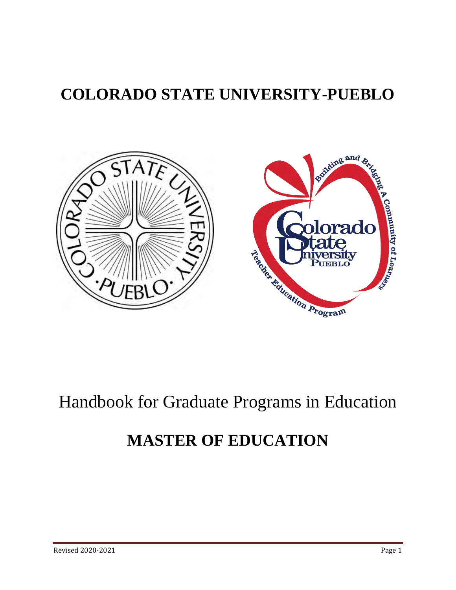# **COLORADO STATE UNIVERSITY-PUEBLO**



# Handbook for Graduate Programs in Education

# **MASTER OF EDUCATION**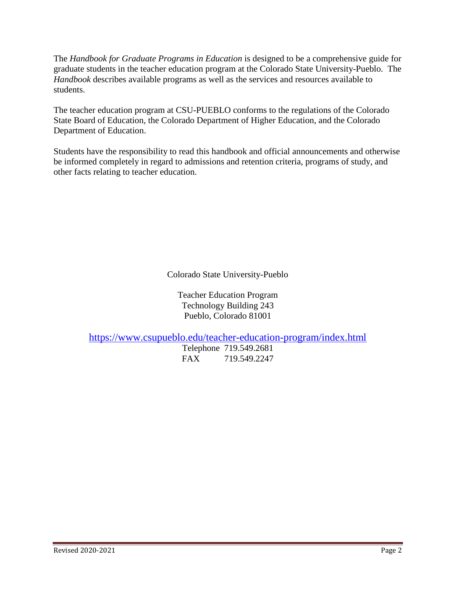The *Handbook for Graduate Programs in Education* is designed to be a comprehensive guide for graduate students in the teacher education program at the Colorado State University-Pueblo. The *Handbook* describes available programs as well as the services and resources available to students.

The teacher education program at CSU-PUEBLO conforms to the regulations of the Colorado State Board of Education, the Colorado Department of Higher Education, and the Colorado Department of Education.

Students have the responsibility to read this handbook and official announcements and otherwise be informed completely in regard to admissions and retention criteria, programs of study, and other facts relating to teacher education.

Colorado State University-Pueblo

Teacher Education Program Technology Building 243 Pueblo, Colorado 81001

<https://www.csupueblo.edu/teacher-education-program/index.html>

Telephone 719.549.2681 FAX 719.549.2247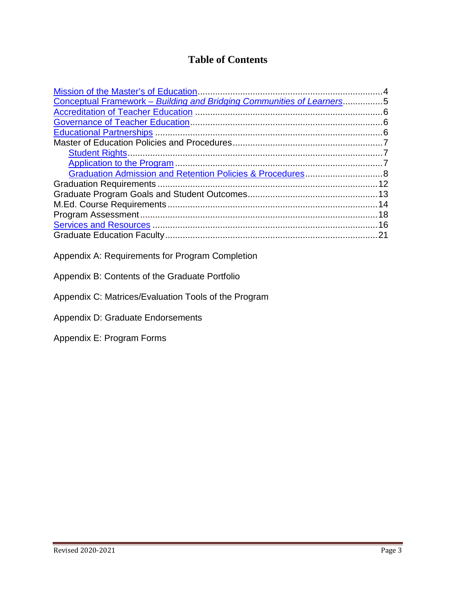# **Table of Contents**

| Conceptual Framework - Building and Bridging Communities of Learners5 |    |
|-----------------------------------------------------------------------|----|
|                                                                       |    |
|                                                                       |    |
|                                                                       |    |
|                                                                       |    |
|                                                                       |    |
|                                                                       |    |
|                                                                       |    |
|                                                                       | 12 |
|                                                                       |    |
|                                                                       | 14 |
|                                                                       |    |
|                                                                       |    |
|                                                                       | 21 |

- Appendix A: Requirements for Program Completion
- Appendix B: Contents of the Graduate Portfolio
- Appendix C: Matrices/Evaluation Tools of the Program
- Appendix D: Graduate Endorsements
- Appendix E: Program Forms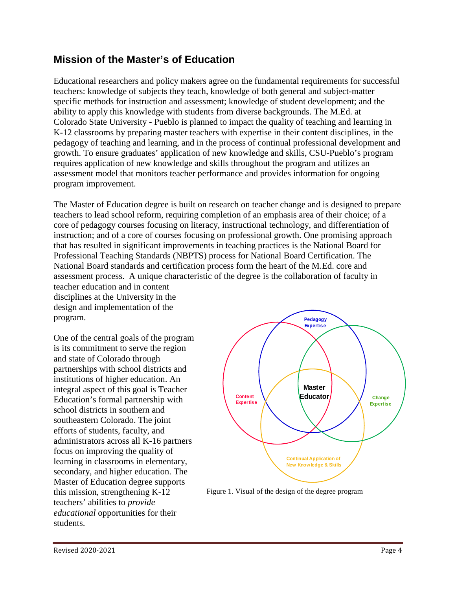# <span id="page-3-0"></span>**Mission of the Master's of Education**

Educational researchers and policy makers agree on the fundamental requirements for successful teachers: knowledge of subjects they teach, knowledge of both general and subject-matter specific methods for instruction and assessment; knowledge of student development; and the ability to apply this knowledge with students from diverse backgrounds. The M.Ed. at Colorado State University - Pueblo is planned to impact the quality of teaching and learning in K-12 classrooms by preparing master teachers with expertise in their content disciplines, in the pedagogy of teaching and learning, and in the process of continual professional development and growth. To ensure graduates' application of new knowledge and skills, CSU-Pueblo's program requires application of new knowledge and skills throughout the program and utilizes an assessment model that monitors teacher performance and provides information for ongoing program improvement.

The Master of Education degree is built on research on teacher change and is designed to prepare teachers to lead school reform, requiring completion of an emphasis area of their choice; of a core of pedagogy courses focusing on literacy, instructional technology, and differentiation of instruction; and of a core of courses focusing on professional growth. One promising approach that has resulted in significant improvements in teaching practices is the National Board for Professional Teaching Standards (NBPTS) process for National Board Certification. The National Board standards and certification process form the heart of the M.Ed. core and assessment process. A unique characteristic of the degree is the collaboration of faculty in

teacher education and in content disciplines at the University in the design and implementation of the program.

One of the central goals of the program is its commitment to serve the region and state of Colorado through partnerships with school districts and institutions of higher education. An integral aspect of this goal is Teacher Education's formal partnership with school districts in southern and southeastern Colorado. The joint efforts of students, faculty, and administrators across all K-16 partners focus on improving the quality of learning in classrooms in elementary, secondary, and higher education. The Master of Education degree supports this mission, strengthening K-12 teachers' abilities to *provide educational* opportunities for their students.



Figure 1. Visual of the design of the degree program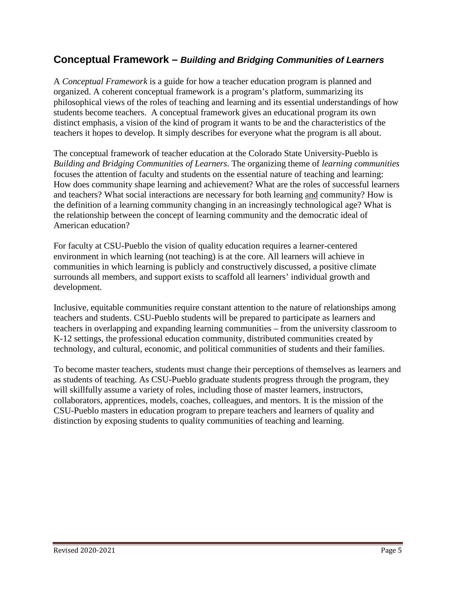## **Conceptual Framework –** *Building and Bridging Communities of Learners*

A *Conceptual Framework* is a guide for how a teacher education program is planned and organized. A coherent conceptual framework is a program's platform, summarizing its philosophical views of the roles of teaching and learning and its essential understandings of how students become teachers. A conceptual framework gives an educational program its own distinct emphasis, a vision of the kind of program it wants to be and the characteristics of the teachers it hopes to develop. It simply describes for everyone what the program is all about.

The conceptual framework of teacher education at the Colorado State University-Pueblo is *Building and Bridging Communities of Learners*. The organizing theme of *learning communities* focuses the attention of faculty and students on the essential nature of teaching and learning: How does community shape learning and achievement? What are the roles of successful learners and teachers? What social interactions are necessary for both learning and community? How is the definition of a learning community changing in an increasingly technological age? What is the relationship between the concept of learning community and the democratic ideal of American education?

For faculty at CSU-Pueblo the vision of quality education requires a learner-centered environment in which learning (not teaching) is at the core. All learners will achieve in communities in which learning is publicly and constructively discussed, a positive climate surrounds all members, and support exists to scaffold all learners' individual growth and development.

Inclusive, equitable communities require constant attention to the nature of relationships among teachers and students. CSU-Pueblo students will be prepared to participate as learners and teachers in overlapping and expanding learning communities – from the university classroom to K-12 settings, the professional education community, distributed communities created by technology, and cultural, economic, and political communities of students and their families.

To become master teachers, students must change their perceptions of themselves as learners and as students of teaching. As CSU-Pueblo graduate students progress through the program, they will skillfully assume a variety of roles, including those of master learners, instructors, collaborators, apprentices, models, coaches, colleagues, and mentors. It is the mission of the CSU-Pueblo masters in education program to prepare teachers and learners of quality and distinction by exposing students to quality communities of teaching and learning.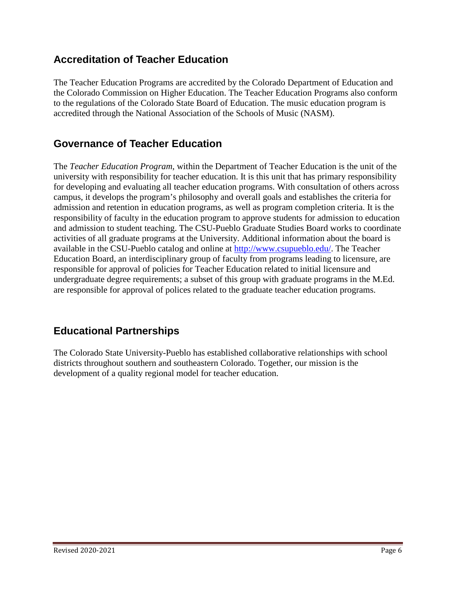# <span id="page-5-0"></span>**Accreditation of Teacher Education**

The Teacher Education Programs are accredited by the Colorado Department of Education and the Colorado Commission on Higher Education. The Teacher Education Programs also conform to the regulations of the Colorado State Board of Education. The music education program is accredited through the National Association of the Schools of Music (NASM).

# <span id="page-5-1"></span>**Governance of Teacher Education**

The *Teacher Education Program*, within the Department of Teacher Education is the unit of the university with responsibility for teacher education. It is this unit that has primary responsibility for developing and evaluating all teacher education programs. With consultation of others across campus, it develops the program's philosophy and overall goals and establishes the criteria for admission and retention in education programs, as well as program completion criteria. It is the responsibility of faculty in the education program to approve students for admission to education and admission to student teaching. The CSU-Pueblo Graduate Studies Board works to coordinate activities of all graduate programs at the University. Additional information about the board is available in the CSU-Pueblo catalog and online at [http://www.csupueblo.edu/.](http://www.csupueblo.edu/) The Teacher Education Board, an interdisciplinary group of faculty from programs leading to licensure, are responsible for approval of policies for Teacher Education related to initial licensure and undergraduate degree requirements; a subset of this group with graduate programs in the M.Ed. are responsible for approval of polices related to the graduate teacher education programs.

# <span id="page-5-2"></span>**Educational Partnerships**

The Colorado State University-Pueblo has established collaborative relationships with school districts throughout southern and southeastern Colorado. Together, our mission is the development of a quality regional model for teacher education.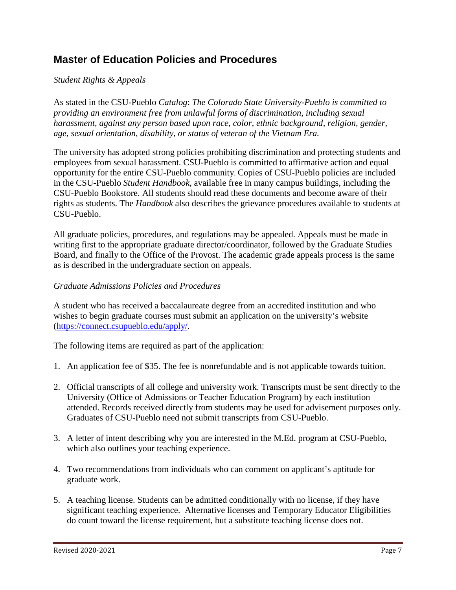# **Master of Education Policies and Procedures**

#### <span id="page-6-0"></span>*Student Rights & Appeals*

As stated in the CSU-Pueblo *Catalog*: *The Colorado State University-Pueblo is committed to providing an environment free from unlawful forms of discrimination, including sexual harassment, against any person based upon race, color, ethnic background, religion, gender, age, sexual orientation, disability, or status of veteran of the Vietnam Era.*

The university has adopted strong policies prohibiting discrimination and protecting students and employees from sexual harassment. CSU-Pueblo is committed to affirmative action and equal opportunity for the entire CSU-Pueblo community. Copies of CSU-Pueblo policies are included in the CSU-Pueblo *Student Handbook*, available free in many campus buildings, including the CSU-Pueblo Bookstore. All students should read these documents and become aware of their rights as students. The *Handbook* also describes the grievance procedures available to students at CSU-Pueblo.

All graduate policies, procedures, and regulations may be appealed. Appeals must be made in writing first to the appropriate graduate director/coordinator, followed by the Graduate Studies Board, and finally to the Office of the Provost. The academic grade appeals process is the same as is described in the undergraduate section on appeals.

#### *Graduate Admissions Policies and Procedures*

A student who has received a baccalaureate degree from an accredited institution and who wishes to begin graduate courses must submit an application on the university's website (https://connect[.csupueblo.](https://connect.csupueblo.edu/apply/)edu/apply/.

The following items are required as part of the application:

- 1. An application fee of \$35. The fee is nonrefundable and is not applicable towards tuition.
- 2. Official transcripts of all college and university work. Transcripts must be sent directly to the University (Office of Admissions or Teacher Education Program) by each institution attended. Records received directly from students may be used for advisement purposes only. Graduates of CSU-Pueblo need not submit transcripts from CSU-Pueblo.
- 3. A letter of intent describing why you are interested in the M.Ed. program at CSU-Pueblo, which also outlines your teaching experience.
- 4. Two recommendations from individuals who can comment on applicant's aptitude for graduate work.
- 5. A teaching license. Students can be admitted conditionally with no license, if they have significant teaching experience. Alternative licenses and Temporary Educator Eligibilities do count toward the license requirement, but a substitute teaching license does not.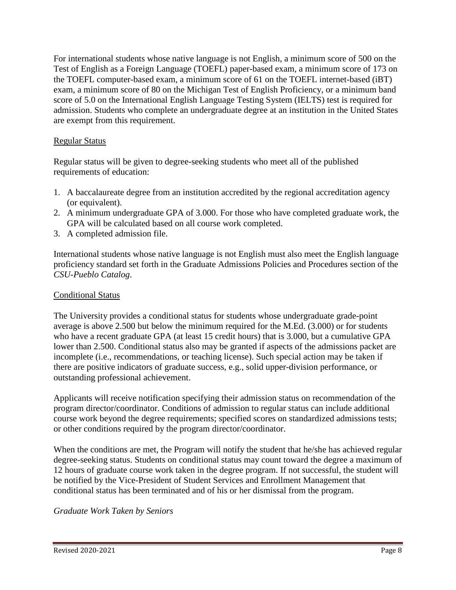For international students whose native language is not English, a minimum score of 500 on the Test of English as a Foreign Language (TOEFL) paper-based exam, a minimum score of 173 on the TOEFL computer-based exam, a minimum score of 61 on the TOEFL internet-based (iBT) exam, a minimum score of 80 on the Michigan Test of English Proficiency, or a minimum band score of 5.0 on the International English Language Testing System (IELTS) test is required for admission. Students who complete an undergraduate degree at an institution in the United States are exempt from this requirement.

#### Regular Status

Regular status will be given to degree-seeking students who meet all of the published requirements of education:

- 1. A baccalaureate degree from an institution accredited by the regional accreditation agency (or equivalent).
- 2. A minimum undergraduate GPA of 3.000. For those who have completed graduate work, the GPA will be calculated based on all course work completed.
- 3. A completed admission file.

International students whose native language is not English must also meet the English language proficiency standard set forth in the Graduate Admissions Policies and Procedures section of the *CSU-Pueblo Catalog*.

#### Conditional Status

The University provides a conditional status for students whose undergraduate grade-point average is above 2.500 but below the minimum required for the M.Ed. (3.000) or for students who have a recent graduate GPA (at least 15 credit hours) that is 3.000, but a cumulative GPA lower than 2.500. Conditional status also may be granted if aspects of the admissions packet are incomplete (i.e., recommendations, or teaching license). Such special action may be taken if there are positive indicators of graduate success, e.g., solid upper-division performance, or outstanding professional achievement.

Applicants will receive notification specifying their admission status on recommendation of the program director/coordinator. Conditions of admission to regular status can include additional course work beyond the degree requirements; specified scores on standardized admissions tests; or other conditions required by the program director/coordinator.

When the conditions are met, the Program will notify the student that he/she has achieved regular degree-seeking status. Students on conditional status may count toward the degree a maximum of 12 hours of graduate course work taken in the degree program. If not successful, the student will be notified by the Vice-President of Student Services and Enrollment Management that conditional status has been terminated and of his or her dismissal from the program.

*Graduate Work Taken by Seniors*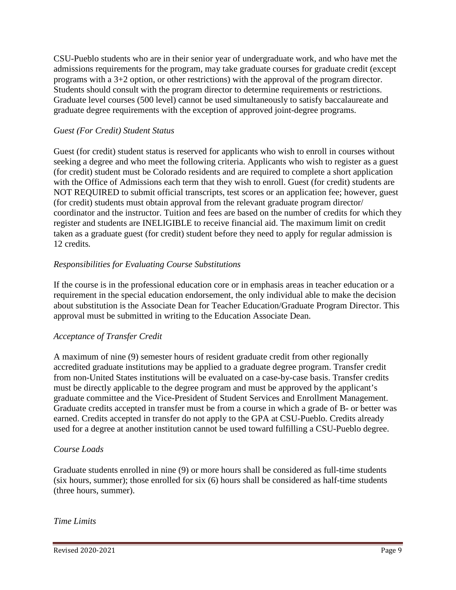CSU-Pueblo students who are in their senior year of undergraduate work, and who have met the admissions requirements for the program, may take graduate courses for graduate credit (except programs with a 3+2 option, or other restrictions) with the approval of the program director. Students should consult with the program director to determine requirements or restrictions. Graduate level courses (500 level) cannot be used simultaneously to satisfy baccalaureate and graduate degree requirements with the exception of approved joint-degree programs.

#### *Guest (For Credit) Student Status*

Guest (for credit) student status is reserved for applicants who wish to enroll in courses without seeking a degree and who meet the following criteria. Applicants who wish to register as a guest (for credit) student must be Colorado residents and are required to complete a short application with the Office of Admissions each term that they wish to enroll. Guest (for credit) students are NOT REQUIRED to submit official transcripts, test scores or an application fee; however, guest (for credit) students must obtain approval from the relevant graduate program director/ coordinator and the instructor. Tuition and fees are based on the number of credits for which they register and students are INELIGIBLE to receive financial aid. The maximum limit on credit taken as a graduate guest (for credit) student before they need to apply for regular admission is 12 credits*.*

#### *Responsibilities for Evaluating Course Substitutions*

If the course is in the professional education core or in emphasis areas in teacher education or a requirement in the special education endorsement, the only individual able to make the decision about substitution is the Associate Dean for Teacher Education/Graduate Program Director. This approval must be submitted in writing to the Education Associate Dean.

#### *Acceptance of Transfer Credit*

A maximum of nine (9) semester hours of resident graduate credit from other regionally accredited graduate institutions may be applied to a graduate degree program. Transfer credit from non-United States institutions will be evaluated on a case-by-case basis. Transfer credits must be directly applicable to the degree program and must be approved by the applicant's graduate committee and the Vice-President of Student Services and Enrollment Management. Graduate credits accepted in transfer must be from a course in which a grade of B- or better was earned. Credits accepted in transfer do not apply to the GPA at CSU-Pueblo. Credits already used for a degree at another institution cannot be used toward fulfilling a CSU-Pueblo degree.

#### *Course Loads*

Graduate students enrolled in nine (9) or more hours shall be considered as full-time students (six hours, summer); those enrolled for six (6) hours shall be considered as half-time students (three hours, summer).

#### *Time Limits*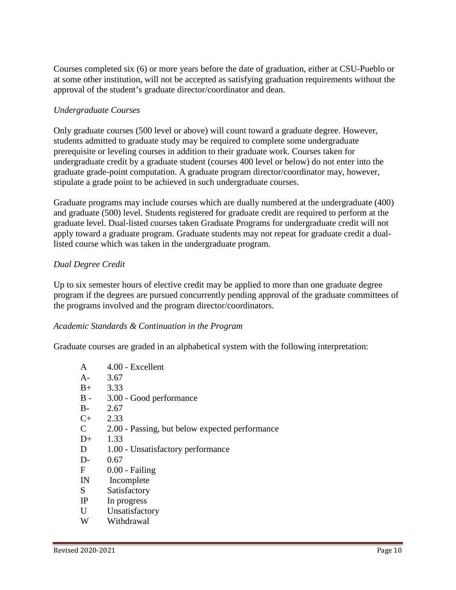Courses completed six (6) or more years before the date of graduation, either at CSU-Pueblo or at some other institution, will not be accepted as satisfying graduation requirements without the approval of the student's graduate director/coordinator and dean.

#### *Undergraduate Courses*

Only graduate courses (500 level or above) will count toward a graduate degree. However, students admitted to graduate study may be required to complete some undergraduate prerequisite or leveling courses in addition to their graduate work. Courses taken for undergraduate credit by a graduate student (courses 400 level or below) do not enter into the graduate grade-point computation. A graduate program director/coordinator may, however, stipulate a grade point to be achieved in such undergraduate courses.

Graduate programs may include courses which are dually numbered at the undergraduate (400) and graduate (500) level. Students registered for graduate credit are required to perform at the graduate level. Dual-listed courses taken Graduate Programs for undergraduate credit will not apply toward a graduate program. Graduate students may not repeat for graduate credit a duallisted course which was taken in the undergraduate program.

#### *Dual Degree Credit*

Up to six semester hours of elective credit may be applied to more than one graduate degree program if the degrees are pursued concurrently pending approval of the graduate committees of the programs involved and the program director/coordinators.

#### *Academic Standards & Continuation in the Program*

Graduate courses are graded in an alphabetical system with the following interpretation:

| A            | 4.00 - Excellent                               |
|--------------|------------------------------------------------|
| $A -$        | 3.67                                           |
| $B+$         | 3.33                                           |
| $B -$        | 3.00 - Good performance                        |
| $B -$        | 2.67                                           |
| $C+$         | 2.33                                           |
| $\mathsf{C}$ | 2.00 - Passing, but below expected performance |
| $D+$         | 1.33                                           |
| D            | 1.00 - Unsatisfactory performance              |
| $D-$         | 0.67                                           |
| F            | $0.00$ - Failing                               |
| $_{\rm IN}$  | Incomplete                                     |
| S            | Satisfactory                                   |
| IP           | In progress                                    |
| U            | Unsatisfactory                                 |
| W            | Withdrawal                                     |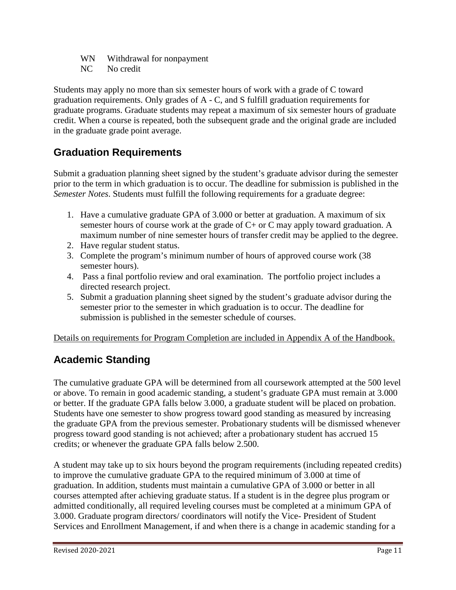WN Withdrawal for nonpayment

NC No credit

Students may apply no more than six semester hours of work with a grade of C toward graduation requirements. Only grades of A - C, and S fulfill graduation requirements for graduate programs. Graduate students may repeat a maximum of six semester hours of graduate credit. When a course is repeated, both the subsequent grade and the original grade are included in the graduate grade point average.

# **Graduation Requirements**

Submit a graduation planning sheet signed by the student's graduate advisor during the semester prior to the term in which graduation is to occur. The deadline for submission is published in the *Semester Notes*. Students must fulfill the following requirements for a graduate degree:

- 1. Have a cumulative graduate GPA of 3.000 or better at graduation. A maximum of six semester hours of course work at the grade of  $C+$  or  $C$  may apply toward graduation. A maximum number of nine semester hours of transfer credit may be applied to the degree.
- 2. Have regular student status.
- 3. Complete the program's minimum number of hours of approved course work (38 semester hours).
- 4. Pass a final portfolio review and oral examination. The portfolio project includes a directed research project.
- 5. Submit a graduation planning sheet signed by the student's graduate advisor during the semester prior to the semester in which graduation is to occur. The deadline for submission is published in the semester schedule of courses.

Details on requirements for Program Completion are included in Appendix A of the Handbook.

# **Academic Standing**

The cumulative graduate GPA will be determined from all coursework attempted at the 500 level or above. To remain in good academic standing, a student's graduate GPA must remain at 3.000 or better. If the graduate GPA falls below 3.000, a graduate student will be placed on probation. Students have one semester to show progress toward good standing as measured by increasing the graduate GPA from the previous semester. Probationary students will be dismissed whenever progress toward good standing is not achieved; after a probationary student has accrued 15 credits; or whenever the graduate GPA falls below 2.500.

A student may take up to six hours beyond the program requirements (including repeated credits) to improve the cumulative graduate GPA to the required minimum of 3.000 at time of graduation. In addition, students must maintain a cumulative GPA of 3.000 or better in all courses attempted after achieving graduate status. If a student is in the degree plus program or admitted conditionally, all required leveling courses must be completed at a minimum GPA of 3.000. Graduate program directors/ coordinators will notify the Vice- President of Student Services and Enrollment Management, if and when there is a change in academic standing for a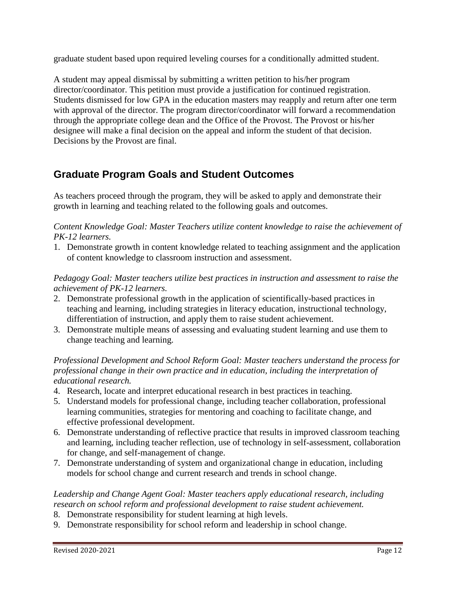graduate student based upon required leveling courses for a conditionally admitted student.

A student may appeal dismissal by submitting a written petition to his/her program director/coordinator. This petition must provide a justification for continued registration. Students dismissed for low GPA in the education masters may reapply and return after one term with approval of the director. The program director/coordinator will forward a recommendation through the appropriate college dean and the Office of the Provost. The Provost or his/her designee will make a final decision on the appeal and inform the student of that decision. Decisions by the Provost are final.

# **Graduate Program Goals and Student Outcomes**

As teachers proceed through the program, they will be asked to apply and demonstrate their growth in learning and teaching related to the following goals and outcomes.

*Content Knowledge Goal: Master Teachers utilize content knowledge to raise the achievement of PK-12 learners.*

1. Demonstrate growth in content knowledge related to teaching assignment and the application of content knowledge to classroom instruction and assessment.

*Pedagogy Goal: Master teachers utilize best practices in instruction and assessment to raise the achievement of PK-12 learners.* 

- 2. Demonstrate professional growth in the application of scientifically-based practices in teaching and learning, including strategies in literacy education, instructional technology, differentiation of instruction, and apply them to raise student achievement.
- 3. Demonstrate multiple means of assessing and evaluating student learning and use them to change teaching and learning.

#### *Professional Development and School Reform Goal: Master teachers understand the process for professional change in their own practice and in education, including the interpretation of educational research.*

- 4. Research, locate and interpret educational research in best practices in teaching.
- 5. Understand models for professional change, including teacher collaboration, professional learning communities, strategies for mentoring and coaching to facilitate change, and effective professional development.
- 6. Demonstrate understanding of reflective practice that results in improved classroom teaching and learning, including teacher reflection, use of technology in self-assessment, collaboration for change, and self-management of change.
- 7. Demonstrate understanding of system and organizational change in education, including models for school change and current research and trends in school change.

## *Leadership and Change Agent Goal: Master teachers apply educational research, including research on school reform and professional development to raise student achievement.*

- 8. Demonstrate responsibility for student learning at high levels.
- 9. Demonstrate responsibility for school reform and leadership in school change.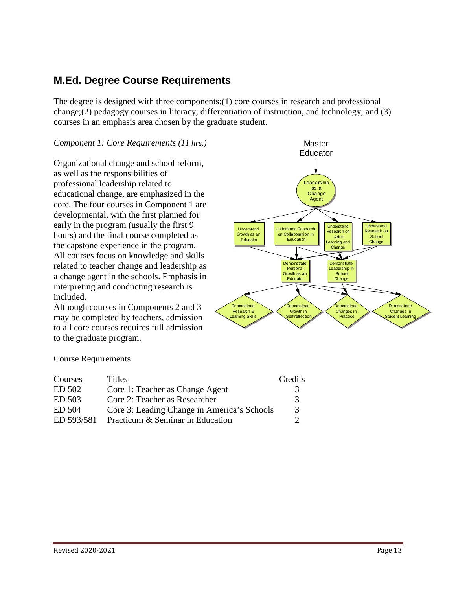# **M.Ed. Degree Course Requirements**

The degree is designed with three components:(1) core courses in research and professional change;(2) pedagogy courses in literacy, differentiation of instruction, and technology; and (3) courses in an emphasis area chosen by the graduate student.

#### *Component 1: Core Requirements (11 hrs.)*

Organizational change and school reform, as well as the responsibilities of professional leadership related to educational change, are emphasized in the core. The four courses in Component 1 are developmental, with the first planned for early in the program (usually the first 9 hours) and the final course completed as the capstone experience in the program. All courses focus on knowledge and skills related to teacher change and leadership as a change agent in the schools. Emphasis in interpreting and conducting research is included.

Although courses in Components 2 and 3 may be completed by teachers, admission to all core courses requires full admission to the graduate program.



#### Course Requirements

| Courses    | Titles                                      | Credits |
|------------|---------------------------------------------|---------|
| ED 502     | Core 1: Teacher as Change Agent             | 3       |
| ED 503     | Core 2: Teacher as Researcher               | 3       |
| ED 504     | Core 3: Leading Change in America's Schools | 3       |
| ED 593/581 | Practicum & Seminar in Education            | 7       |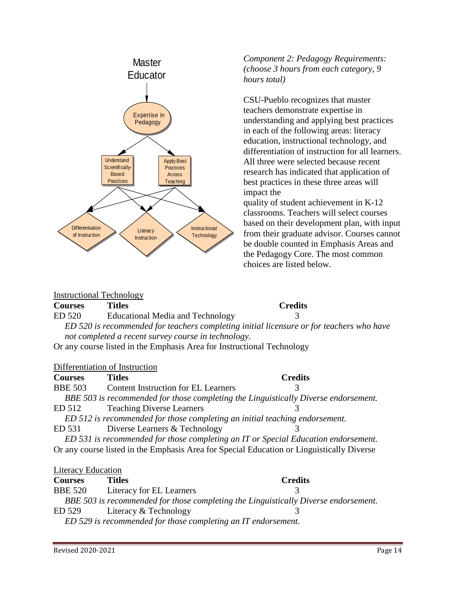

#### Instructional Technology

#### **Courses Titles Credits**

ED 520 Educational Media and Technology 3

 *ED 520 is recommended for teachers completing initial licensure or for teachers who have not completed a recent survey course in technology.* 

Or any course listed in the Emphasis Area for Instructional Technology

#### Differentiation of Instruction

| <b>Courses</b>            | <b>Titles</b>                                                                             | <b>Credits</b> |
|---------------------------|-------------------------------------------------------------------------------------------|----------------|
| <b>BBE 503</b>            | <b>Content Instruction for EL Learners</b>                                                | 3              |
|                           | BBE 503 is recommended for those completing the Linguistically Diverse endorsement.       |                |
| ED 512                    | <b>Teaching Diverse Learners</b>                                                          |                |
|                           | ED 512 is recommended for those completing an initial teaching endorsement.               |                |
| ED 531                    | Diverse Learners & Technology                                                             |                |
|                           | ED 531 is recommended for those completing an IT or Special Education endorsement.        |                |
|                           | Or any course listed in the Emphasis Area for Special Education or Linguistically Diverse |                |
|                           |                                                                                           |                |
| <b>Literacy Education</b> |                                                                                           |                |

| <b>Courses</b>                                                | Titles                                                                              | <b>Credits</b> |  |
|---------------------------------------------------------------|-------------------------------------------------------------------------------------|----------------|--|
| <b>BBE 520</b>                                                | Literacy for EL Learners                                                            |                |  |
|                                                               | BBE 503 is recommended for those completing the Linguistically Diverse endorsement. |                |  |
| ED 529                                                        | Literacy & Technology                                                               |                |  |
| ED 529 is recommended for those completing an IT endorsement. |                                                                                     |                |  |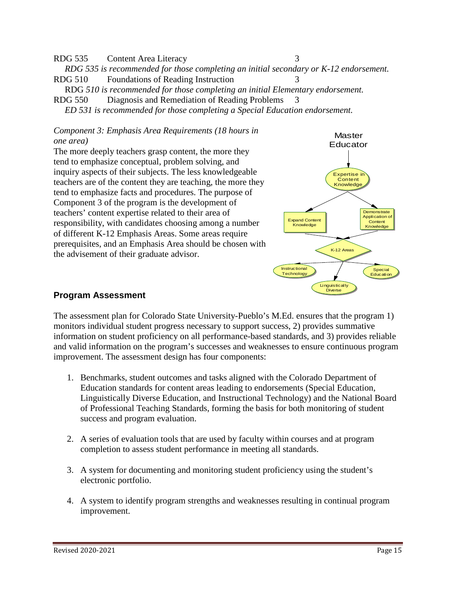RDG 535 Content Area Literacy 3  *RDG 535 is recommended for those completing an initial secondary or K-12 endorsement.*  RDG 510 Foundations of Reading Instruction 3 RDG *510 is recommended for those completing an initial Elementary endorsement.*

RDG 550 Diagnosis and Remediation of Reading Problems 3  *ED 531 is recommended for those completing a Special Education endorsement.* 

#### *Component 3: Emphasis Area Requirements (18 hours in one area)*

The more deeply teachers grasp content, the more they tend to emphasize conceptual, problem solving, and inquiry aspects of their subjects. The less knowledgeable teachers are of the content they are teaching, the more they tend to emphasize facts and procedures. The purpose of Component 3 of the program is the development of teachers' content expertise related to their area of responsibility, with candidates choosing among a number of different K-12 Emphasis Areas. Some areas require prerequisites, and an Emphasis Area should be chosen with the advisement of their graduate advisor.



#### **Program Assessment**

The assessment plan for Colorado State University-Pueblo's M.Ed. ensures that the program 1) monitors individual student progress necessary to support success, 2) provides summative information on student proficiency on all performance-based standards, and 3) provides reliable and valid information on the program's successes and weaknesses to ensure continuous program improvement. The assessment design has four components:

- 1. Benchmarks, student outcomes and tasks aligned with the Colorado Department of Education standards for content areas leading to endorsements (Special Education, Linguistically Diverse Education, and Instructional Technology) and the National Board of Professional Teaching Standards, forming the basis for both monitoring of student success and program evaluation.
- 2. A series of evaluation tools that are used by faculty within courses and at program completion to assess student performance in meeting all standards.
- 3. A system for documenting and monitoring student proficiency using the student's electronic portfolio.
- 4. A system to identify program strengths and weaknesses resulting in continual program improvement.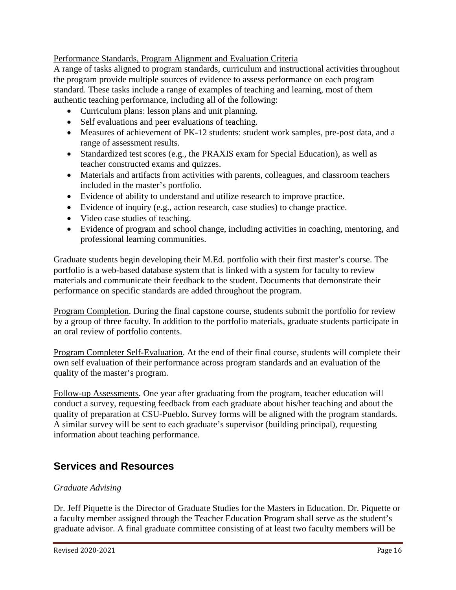Performance Standards, Program Alignment and Evaluation Criteria

A range of tasks aligned to program standards, curriculum and instructional activities throughout the program provide multiple sources of evidence to assess performance on each program standard. These tasks include a range of examples of teaching and learning, most of them authentic teaching performance, including all of the following:

- Curriculum plans: lesson plans and unit planning.
- Self evaluations and peer evaluations of teaching.
- Measures of achievement of PK-12 students: student work samples, pre-post data, and a range of assessment results.
- Standardized test scores (e.g., the PRAXIS exam for Special Education), as well as teacher constructed exams and quizzes.
- Materials and artifacts from activities with parents, colleagues, and classroom teachers included in the master's portfolio.
- Evidence of ability to understand and utilize research to improve practice.
- Evidence of inquiry (e.g., action research, case studies) to change practice.
- Video case studies of teaching.
- Evidence of program and school change, including activities in coaching, mentoring, and professional learning communities.

Graduate students begin developing their M.Ed. portfolio with their first master's course. The portfolio is a web-based database system that is linked with a system for faculty to review materials and communicate their feedback to the student. Documents that demonstrate their performance on specific standards are added throughout the program.

Program Completion. During the final capstone course, students submit the portfolio for review by a group of three faculty. In addition to the portfolio materials, graduate students participate in an oral review of portfolio contents.

Program Completer Self-Evaluation. At the end of their final course, students will complete their own self evaluation of their performance across program standards and an evaluation of the quality of the master's program.

Follow-up Assessments. One year after graduating from the program, teacher education will conduct a survey, requesting feedback from each graduate about his/her teaching and about the quality of preparation at CSU-Pueblo. Survey forms will be aligned with the program standards. A similar survey will be sent to each graduate's supervisor (building principal), requesting information about teaching performance.

# <span id="page-15-0"></span>**Services and Resources**

#### *Graduate Advising*

Dr. Jeff Piquette is the Director of Graduate Studies for the Masters in Education. Dr. Piquette or a faculty member assigned through the Teacher Education Program shall serve as the student's graduate advisor. A final graduate committee consisting of at least two faculty members will be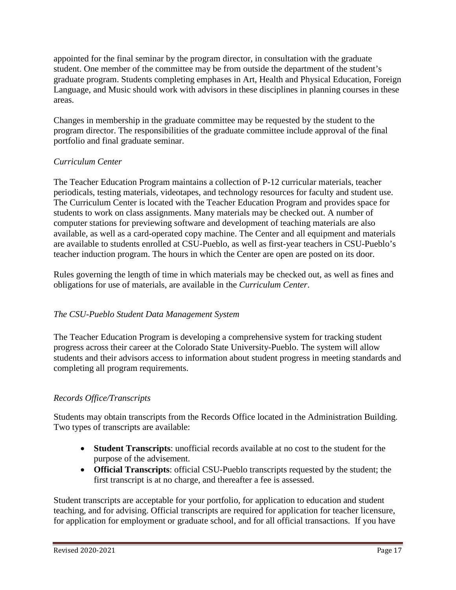appointed for the final seminar by the program director, in consultation with the graduate student. One member of the committee may be from outside the department of the student's graduate program. Students completing emphases in Art, Health and Physical Education, Foreign Language, and Music should work with advisors in these disciplines in planning courses in these areas.

Changes in membership in the graduate committee may be requested by the student to the program director. The responsibilities of the graduate committee include approval of the final portfolio and final graduate seminar.

#### *Curriculum Center*

The Teacher Education Program maintains a collection of P-12 curricular materials, teacher periodicals, testing materials, videotapes, and technology resources for faculty and student use. The Curriculum Center is located with the Teacher Education Program and provides space for students to work on class assignments. Many materials may be checked out. A number of computer stations for previewing software and development of teaching materials are also available, as well as a card-operated copy machine. The Center and all equipment and materials are available to students enrolled at CSU-Pueblo, as well as first-year teachers in CSU-Pueblo's teacher induction program. The hours in which the Center are open are posted on its door.

Rules governing the length of time in which materials may be checked out, as well as fines and obligations for use of materials, are available in the *Curriculum Center*.

### *The CSU-Pueblo Student Data Management System*

The Teacher Education Program is developing a comprehensive system for tracking student progress across their career at the Colorado State University-Pueblo. The system will allow students and their advisors access to information about student progress in meeting standards and completing all program requirements.

### *Records Office/Transcripts*

Students may obtain transcripts from the Records Office located in the Administration Building. Two types of transcripts are available:

- **Student Transcripts**: unofficial records available at no cost to the student for the purpose of the advisement.
- **Official Transcripts**: official CSU-Pueblo transcripts requested by the student; the first transcript is at no charge, and thereafter a fee is assessed.

Student transcripts are acceptable for your portfolio, for application to education and student teaching, and for advising. Official transcripts are required for application for teacher licensure, for application for employment or graduate school, and for all official transactions. If you have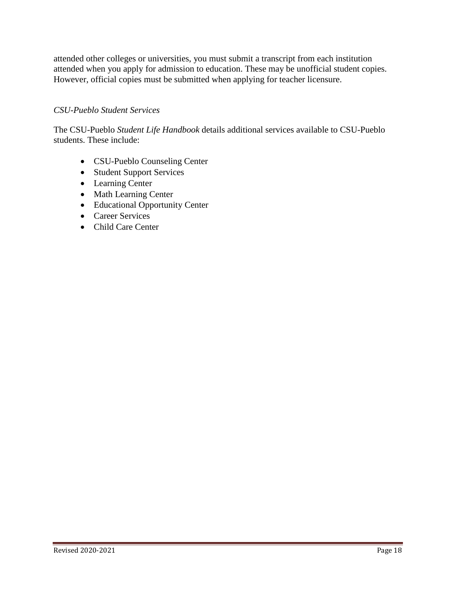attended other colleges or universities, you must submit a transcript from each institution attended when you apply for admission to education. These may be unofficial student copies. However, official copies must be submitted when applying for teacher licensure.

#### *CSU-Pueblo Student Services*

The CSU-Pueblo *Student Life Handbook* details additional services available to CSU-Pueblo students. These include:

- CSU-Pueblo Counseling Center
- Student Support Services
- Learning Center
- Math Learning Center
- Educational Opportunity Center
- Career Services
- Child Care Center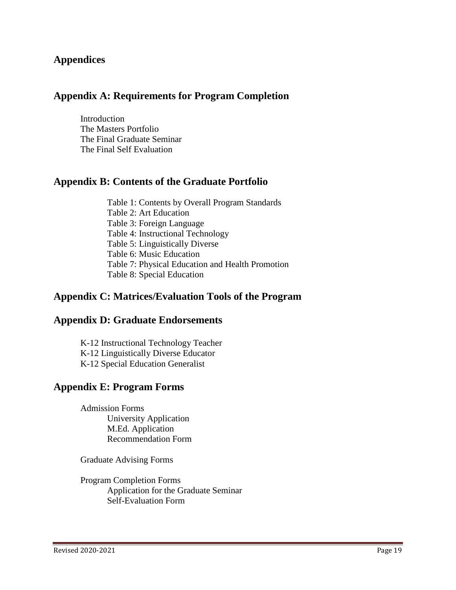### **Appendices**

### **Appendix A: Requirements for Program Completion**

Introduction The Masters Portfolio The Final Graduate Seminar The Final Self Evaluation

### **Appendix B: Contents of the Graduate Portfolio**

Table 1: Contents by Overall Program Standards Table 2: Art Education Table 3: Foreign Language Table 4: Instructional Technology Table 5: Linguistically Diverse Table 6: Music Education Table 7: Physical Education and Health Promotion Table 8: Special Education

### **Appendix C: Matrices/Evaluation Tools of the Program**

#### **Appendix D: Graduate Endorsements**

K-12 Instructional Technology Teacher K-12 Linguistically Diverse Educator K-12 Special Education Generalist

#### **Appendix E: Program Forms**

Admission Forms University Application M.Ed. Application Recommendation Form

Graduate Advising Forms

Program Completion Forms Application for the Graduate Seminar Self-Evaluation Form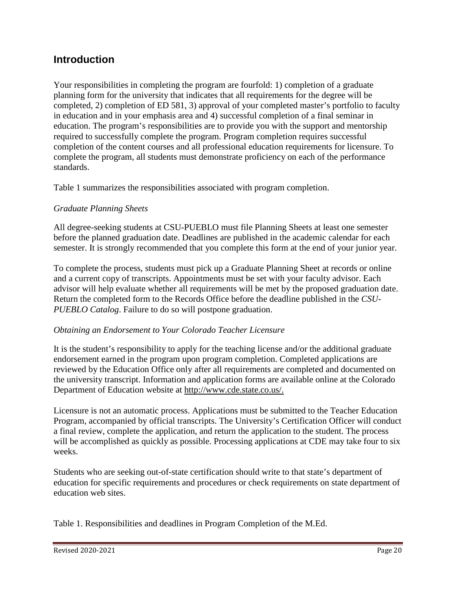# **Introduction**

Your responsibilities in completing the program are fourfold: 1) completion of a graduate planning form for the university that indicates that all requirements for the degree will be completed, 2) completion of ED 581, 3) approval of your completed master's portfolio to faculty in education and in your emphasis area and 4) successful completion of a final seminar in education. The program's responsibilities are to provide you with the support and mentorship required to successfully complete the program. Program completion requires successful completion of the content courses and all professional education requirements for licensure. To complete the program, all students must demonstrate proficiency on each of the performance standards.

Table 1 summarizes the responsibilities associated with program completion.

#### *Graduate Planning Sheets*

All degree-seeking students at CSU-PUEBLO must file Planning Sheets at least one semester before the planned graduation date. Deadlines are published in the academic calendar for each semester. It is strongly recommended that you complete this form at the end of your junior year.

To complete the process, students must pick up a Graduate Planning Sheet at records or online and a current copy of transcripts. Appointments must be set with your faculty advisor. Each advisor will help evaluate whether all requirements will be met by the proposed graduation date. Return the completed form to the Records Office before the deadline published in the *CSU-PUEBLO Catalog*. Failure to do so will postpone graduation.

#### *Obtaining an Endorsement to Your Colorado Teacher Licensure*

It is the student's responsibility to apply for the teaching license and/or the additional graduate endorsement earned in the program upon program completion. Completed applications are reviewed by the Education Office only after all requirements are completed and documented on the university transcript. Information and application forms are available online at the Colorado Department of Education website at http://www.cde.state.co.us/.

Licensure is not an automatic process. Applications must be submitted to the Teacher Education Program, accompanied by official transcripts. The University's Certification Officer will conduct a final review, complete the application, and return the application to the student. The process will be accomplished as quickly as possible. Processing applications at CDE may take four to six weeks.

Students who are seeking out-of-state certification should write to that state's department of education for specific requirements and procedures or check requirements on state department of education web sites.

Table 1. Responsibilities and deadlines in Program Completion of the M.Ed.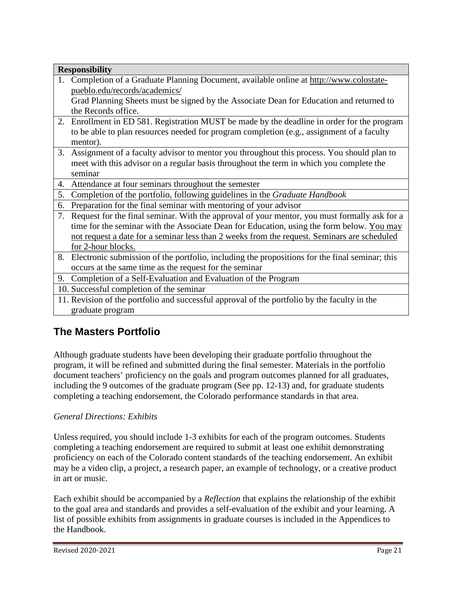| Completion of a Graduate Planning Document, available online at http://www.colostate-<br>1.<br>pueblo.edu/records/academics/<br>Grad Planning Sheets must be signed by the Associate Dean for Education and returned to<br>the Records office.<br>2. Enrollment in ED 581. Registration MUST be made by the deadline in order for the program |  |
|-----------------------------------------------------------------------------------------------------------------------------------------------------------------------------------------------------------------------------------------------------------------------------------------------------------------------------------------------|--|
|                                                                                                                                                                                                                                                                                                                                               |  |
|                                                                                                                                                                                                                                                                                                                                               |  |
|                                                                                                                                                                                                                                                                                                                                               |  |
|                                                                                                                                                                                                                                                                                                                                               |  |
|                                                                                                                                                                                                                                                                                                                                               |  |
| to be able to plan resources needed for program completion (e.g., assignment of a faculty                                                                                                                                                                                                                                                     |  |
| mentor).                                                                                                                                                                                                                                                                                                                                      |  |
| 3. Assignment of a faculty advisor to mentor you throughout this process. You should plan to                                                                                                                                                                                                                                                  |  |
| meet with this advisor on a regular basis throughout the term in which you complete the                                                                                                                                                                                                                                                       |  |
| seminar                                                                                                                                                                                                                                                                                                                                       |  |
| 4. Attendance at four seminars throughout the semester                                                                                                                                                                                                                                                                                        |  |
| Completion of the portfolio, following guidelines in the Graduate Handbook<br>5.                                                                                                                                                                                                                                                              |  |
| Preparation for the final seminar with mentoring of your advisor<br>6.                                                                                                                                                                                                                                                                        |  |
| Request for the final seminar. With the approval of your mentor, you must formally ask for a<br>7.                                                                                                                                                                                                                                            |  |
| time for the seminar with the Associate Dean for Education, using the form below. You may                                                                                                                                                                                                                                                     |  |
| not request a date for a seminar less than 2 weeks from the request. Seminars are scheduled                                                                                                                                                                                                                                                   |  |
| for 2-hour blocks.                                                                                                                                                                                                                                                                                                                            |  |
| 8. Electronic submission of the portfolio, including the propositions for the final seminar; this                                                                                                                                                                                                                                             |  |
| occurs at the same time as the request for the seminar                                                                                                                                                                                                                                                                                        |  |
| 9. Completion of a Self-Evaluation and Evaluation of the Program                                                                                                                                                                                                                                                                              |  |
| 10. Successful completion of the seminar                                                                                                                                                                                                                                                                                                      |  |
| 11. Revision of the portfolio and successful approval of the portfolio by the faculty in the                                                                                                                                                                                                                                                  |  |
| graduate program                                                                                                                                                                                                                                                                                                                              |  |

# **The Masters Portfolio**

Although graduate students have been developing their graduate portfolio throughout the program, it will be refined and submitted during the final semester. Materials in the portfolio document teachers' proficiency on the goals and program outcomes planned for all graduates, including the 9 outcomes of the graduate program (See pp. 12-13) and, for graduate students completing a teaching endorsement, the Colorado performance standards in that area.

#### *General Directions: Exhibits*

Unless required, you should include 1-3 exhibits for each of the program outcomes. Students completing a teaching endorsement are required to submit at least one exhibit demonstrating proficiency on each of the Colorado content standards of the teaching endorsement. An exhibit may be a video clip, a project, a research paper, an example of technology, or a creative product in art or music.

Each exhibit should be accompanied by a *Reflection* that explains the relationship of the exhibit to the goal area and standards and provides a self-evaluation of the exhibit and your learning. A list of possible exhibits from assignments in graduate courses is included in the Appendices to the Handbook.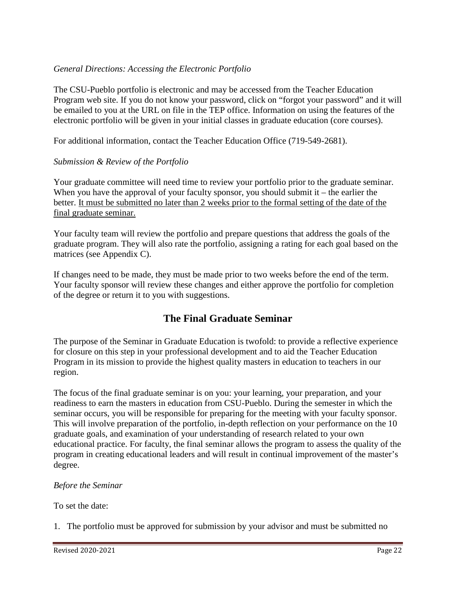#### *General Directions: Accessing the Electronic Portfolio*

The CSU-Pueblo portfolio is electronic and may be accessed from the Teacher Education Program web site. If you do not know your password, click on "forgot your password" and it will be emailed to you at the URL on file in the TEP office. Information on using the features of the electronic portfolio will be given in your initial classes in graduate education (core courses).

For additional information, contact the Teacher Education Office (719-549-2681).

#### *Submission & Review of the Portfolio*

Your graduate committee will need time to review your portfolio prior to the graduate seminar. When you have the approval of your faculty sponsor, you should submit  $it$  – the earlier the better. It must be submitted no later than 2 weeks prior to the formal setting of the date of the final graduate seminar.

Your faculty team will review the portfolio and prepare questions that address the goals of the graduate program. They will also rate the portfolio, assigning a rating for each goal based on the matrices (see Appendix C).

If changes need to be made, they must be made prior to two weeks before the end of the term. Your faculty sponsor will review these changes and either approve the portfolio for completion of the degree or return it to you with suggestions.

# **The Final Graduate Seminar**

The purpose of the Seminar in Graduate Education is twofold: to provide a reflective experience for closure on this step in your professional development and to aid the Teacher Education Program in its mission to provide the highest quality masters in education to teachers in our region.

The focus of the final graduate seminar is on you: your learning, your preparation, and your readiness to earn the masters in education from CSU-Pueblo. During the semester in which the seminar occurs, you will be responsible for preparing for the meeting with your faculty sponsor. This will involve preparation of the portfolio, in-depth reflection on your performance on the 10 graduate goals, and examination of your understanding of research related to your own educational practice. For faculty, the final seminar allows the program to assess the quality of the program in creating educational leaders and will result in continual improvement of the master's degree.

#### *Before the Seminar*

To set the date:

1. The portfolio must be approved for submission by your advisor and must be submitted no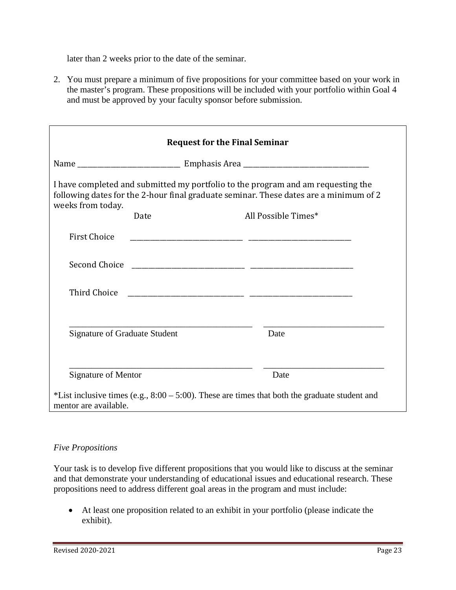later than 2 weeks prior to the date of the seminar.

2. You must prepare a minimum of five propositions for your committee based on your work in the master's program. These propositions will be included with your portfolio within Goal 4 and must be approved by your faculty sponsor before submission.

| weeks from today.                    | I have completed and submitted my portfolio to the program and am requesting the<br>following dates for the 2-hour final graduate seminar. These dates are a minimum of 2 |  |  |  |  |
|--------------------------------------|---------------------------------------------------------------------------------------------------------------------------------------------------------------------------|--|--|--|--|
| Date                                 | All Possible Times*                                                                                                                                                       |  |  |  |  |
| <b>First Choice</b>                  |                                                                                                                                                                           |  |  |  |  |
|                                      |                                                                                                                                                                           |  |  |  |  |
| Third Choice                         | <u> 1980 - Andrea Andrews, amerikansk politik (d. 1980)</u>                                                                                                               |  |  |  |  |
|                                      |                                                                                                                                                                           |  |  |  |  |
| <b>Signature of Graduate Student</b> | Date                                                                                                                                                                      |  |  |  |  |
|                                      |                                                                                                                                                                           |  |  |  |  |
| <b>Signature of Mentor</b>           | Date                                                                                                                                                                      |  |  |  |  |

#### *Five Propositions*

Your task is to develop five different propositions that you would like to discuss at the seminar and that demonstrate your understanding of educational issues and educational research. These propositions need to address different goal areas in the program and must include:

• At least one proposition related to an exhibit in your portfolio (please indicate the exhibit).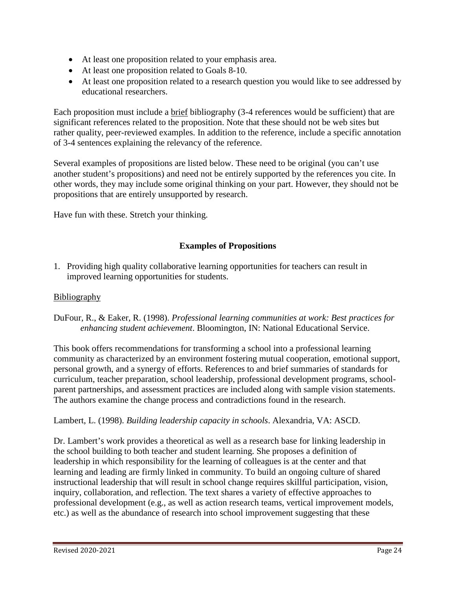- At least one proposition related to your emphasis area.
- At least one proposition related to Goals 8-10.
- At least one proposition related to a research question you would like to see addressed by educational researchers.

Each proposition must include a brief bibliography (3-4 references would be sufficient) that are significant references related to the proposition. Note that these should not be web sites but rather quality, peer-reviewed examples. In addition to the reference, include a specific annotation of 3-4 sentences explaining the relevancy of the reference.

Several examples of propositions are listed below. These need to be original (you can't use another student's propositions) and need not be entirely supported by the references you cite. In other words, they may include some original thinking on your part. However, they should not be propositions that are entirely unsupported by research.

Have fun with these. Stretch your thinking.

### **Examples of Propositions**

1. Providing high quality collaborative learning opportunities for teachers can result in improved learning opportunities for students.

#### **Bibliography**

DuFour, R., & Eaker, R. (1998). *Professional learning communities at work: Best practices for enhancing student achievement*. Bloomington, IN: National Educational Service.

This book offers recommendations for transforming a school into a professional learning community as characterized by an environment fostering mutual cooperation, emotional support, personal growth, and a synergy of efforts. References to and brief summaries of standards for curriculum, teacher preparation, school leadership, professional development programs, schoolparent partnerships, and assessment practices are included along with sample vision statements. The authors examine the change process and contradictions found in the research.

#### Lambert, L. (1998). *Building leadership capacity in schools*. Alexandria, VA: ASCD.

Dr. Lambert's work provides a theoretical as well as a research base for linking leadership in the school building to both teacher and student learning. She proposes a definition of leadership in which responsibility for the learning of colleagues is at the center and that learning and leading are firmly linked in community. To build an ongoing culture of shared instructional leadership that will result in school change requires skillful participation, vision, inquiry, collaboration, and reflection. The text shares a variety of effective approaches to professional development (e.g., as well as action research teams, vertical improvement models, etc.) as well as the abundance of research into school improvement suggesting that these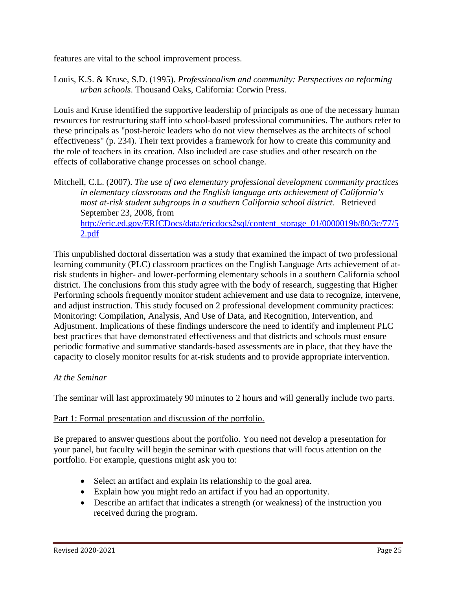features are vital to the school improvement process.

Louis, K.S. & Kruse, S.D. (1995). *Professionalism and community: Perspectives on reforming urban schools*. Thousand Oaks, California: Corwin Press.

Louis and Kruse identified the supportive leadership of principals as one of the necessary human resources for restructuring staff into school-based professional communities. The authors refer to these principals as "post-heroic leaders who do not view themselves as the architects of school effectiveness" (p. 234). Their text provides a framework for how to create this community and the role of teachers in its creation. Also included are case studies and other research on the effects of collaborative change processes on school change.

Mitchell, C.L. (2007). *The use of two elementary professional development community practices in elementary classrooms and the English language arts achievement of California's most at-risk student subgroups in a southern California school district.* Retrieved September 23, 2008, from [http://eric.ed.gov/ERICDocs/data/ericdocs2sql/content\\_storage\\_01/0000019b/80/3c/77/5](http://eric.ed.gov/ERICDocs/data/ericdocs2sql/content_storage_01/0000019b/80/3c/77/52.pdf) [2.pdf](http://eric.ed.gov/ERICDocs/data/ericdocs2sql/content_storage_01/0000019b/80/3c/77/52.pdf)

This unpublished doctoral dissertation was a study that examined the impact of two professional learning community (PLC) classroom practices on the English Language Arts achievement of atrisk students in higher- and lower-performing elementary schools in a southern California school district. The conclusions from this study agree with the body of research, suggesting that Higher Performing schools frequently monitor student achievement and use data to recognize, intervene, and adjust instruction. This study focused on 2 professional development community practices: Monitoring: Compilation, Analysis, And Use of Data, and Recognition, Intervention, and Adjustment. Implications of these findings underscore the need to identify and implement PLC best practices that have demonstrated effectiveness and that districts and schools must ensure periodic formative and summative standards-based assessments are in place, that they have the capacity to closely monitor results for at-risk students and to provide appropriate intervention.

#### *At the Seminar*

The seminar will last approximately 90 minutes to 2 hours and will generally include two parts.

#### Part 1: Formal presentation and discussion of the portfolio.

Be prepared to answer questions about the portfolio. You need not develop a presentation for your panel, but faculty will begin the seminar with questions that will focus attention on the portfolio. For example, questions might ask you to:

- Select an artifact and explain its relationship to the goal area.
- Explain how you might redo an artifact if you had an opportunity.
- Describe an artifact that indicates a strength (or weakness) of the instruction you received during the program.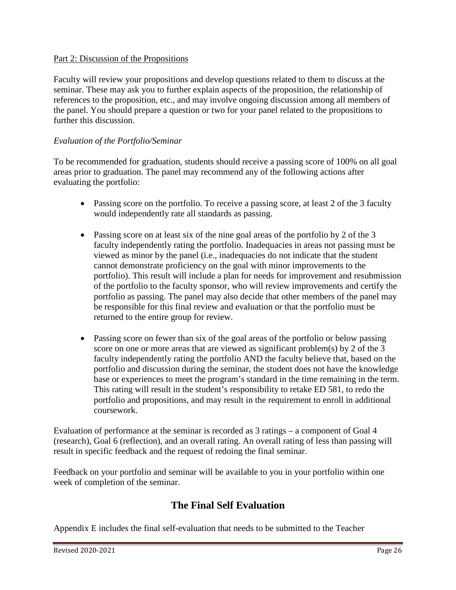#### Part 2: Discussion of the Propositions

Faculty will review your propositions and develop questions related to them to discuss at the seminar. These may ask you to further explain aspects of the proposition, the relationship of references to the proposition, etc., and may involve ongoing discussion among all members of the panel. You should prepare a question or two for your panel related to the propositions to further this discussion.

#### *Evaluation of the Portfolio/Seminar*

To be recommended for graduation, students should receive a passing score of 100% on all goal areas prior to graduation. The panel may recommend any of the following actions after evaluating the portfolio:

- Passing score on the portfolio. To receive a passing score, at least 2 of the 3 faculty would independently rate all standards as passing.
- Passing score on at least six of the nine goal areas of the portfolio by 2 of the 3 faculty independently rating the portfolio. Inadequacies in areas not passing must be viewed as minor by the panel (i.e., inadequacies do not indicate that the student cannot demonstrate proficiency on the goal with minor improvements to the portfolio). This result will include a plan for needs for improvement and resubmission of the portfolio to the faculty sponsor, who will review improvements and certify the portfolio as passing. The panel may also decide that other members of the panel may be responsible for this final review and evaluation or that the portfolio must be returned to the entire group for review.
- Passing score on fewer than six of the goal areas of the portfolio or below passing score on one or more areas that are viewed as significant problem(s) by 2 of the 3 faculty independently rating the portfolio AND the faculty believe that, based on the portfolio and discussion during the seminar, the student does not have the knowledge base or experiences to meet the program's standard in the time remaining in the term. This rating will result in the student's responsibility to retake ED 581, to redo the portfolio and propositions, and may result in the requirement to enroll in additional coursework.

Evaluation of performance at the seminar is recorded as 3 ratings – a component of Goal 4 (research), Goal 6 (reflection), and an overall rating. An overall rating of less than passing will result in specific feedback and the request of redoing the final seminar.

Feedback on your portfolio and seminar will be available to you in your portfolio within one week of completion of the seminar.

# **The Final Self Evaluation**

Appendix E includes the final self-evaluation that needs to be submitted to the Teacher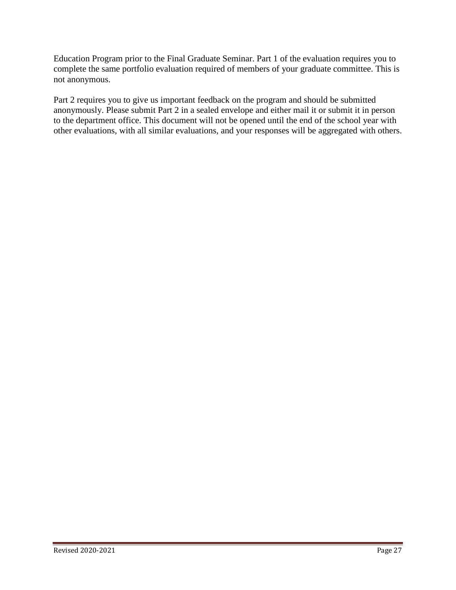Education Program prior to the Final Graduate Seminar. Part 1 of the evaluation requires you to complete the same portfolio evaluation required of members of your graduate committee. This is not anonymous.

Part 2 requires you to give us important feedback on the program and should be submitted anonymously. Please submit Part 2 in a sealed envelope and either mail it or submit it in person to the department office. This document will not be opened until the end of the school year with other evaluations, with all similar evaluations, and your responses will be aggregated with others.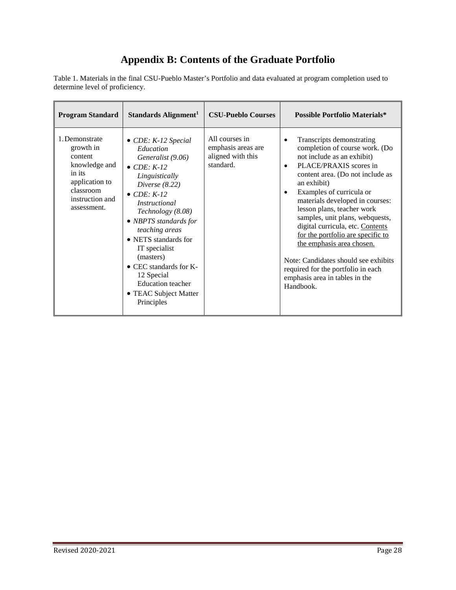# **Appendix B: Contents of the Graduate Portfolio**

Table 1. Materials in the final CSU-Pueblo Master's Portfolio and data evaluated at program completion used to determine level of proficiency.

| <b>Program Standard</b>                                                                                                            | Standards Alignment <sup>1</sup>                                                                                                                                                                                                                                                                                                                                                                                   | <b>CSU-Pueblo Courses</b>                                              | <b>Possible Portfolio Materials*</b>                                                                                                                                                                                                                                                                                                                                                                                                                                                                                                                                             |
|------------------------------------------------------------------------------------------------------------------------------------|--------------------------------------------------------------------------------------------------------------------------------------------------------------------------------------------------------------------------------------------------------------------------------------------------------------------------------------------------------------------------------------------------------------------|------------------------------------------------------------------------|----------------------------------------------------------------------------------------------------------------------------------------------------------------------------------------------------------------------------------------------------------------------------------------------------------------------------------------------------------------------------------------------------------------------------------------------------------------------------------------------------------------------------------------------------------------------------------|
| 1. Demonstrate<br>growth in<br>content<br>knowledge and<br>in its<br>application to<br>classroom<br>instruction and<br>assessment. | $\bullet$ CDE: K-12 Special<br>Education<br>Generalist (9.06)<br>$\bullet$ CDE: K-12<br>Linguistically<br>Diverse $(8.22)$<br>$\bullet$ CDE: K-12<br><i>Instructional</i><br>Technology (8.08)<br>• NBPTS standards for<br>teaching areas<br>• NETS standards for<br>IT specialist<br>(masters)<br>$\bullet$ CEC standards for K-<br>12 Special<br><b>Education</b> teacher<br>• TEAC Subject Matter<br>Principles | All courses in<br>emphasis areas are<br>aligned with this<br>standard. | Transcripts demonstrating<br>$\bullet$<br>completion of course work. (Do<br>not include as an exhibit)<br>PLACE/PRAXIS scores in<br>$\bullet$<br>content area. (Do not include as<br>an exhibit)<br>Examples of curricula or<br>$\bullet$<br>materials developed in courses:<br>lesson plans, teacher work<br>samples, unit plans, webquests,<br>digital curricula, etc. Contents<br>for the portfolio are specific to<br>the emphasis area chosen.<br>Note: Candidates should see exhibits<br>required for the portfolio in each<br>emphasis area in tables in the<br>Handbook. |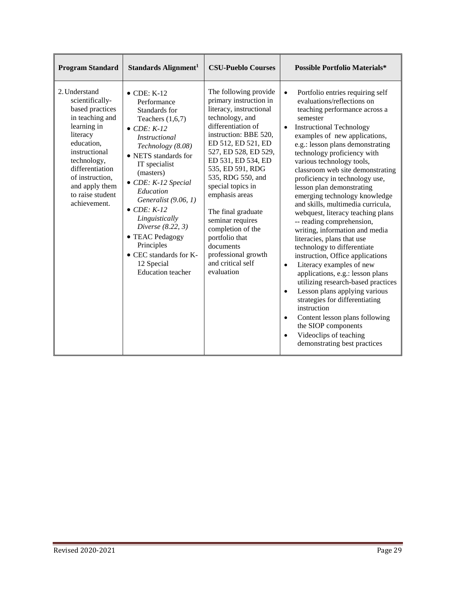| <b>Program Standard</b>                                                                                                                                                                                                                     | Standards Alignment <sup>1</sup>                                                                                                                                                                                                                                                                                                                                                                                                           | <b>CSU-Pueblo Courses</b>                                                                                                                                                                                                                                                                                                                                                                                                                                | <b>Possible Portfolio Materials*</b>                                                                                                                                                                                                                                                                                                                                                                                                                                                                                                                                                                                                                                                                                                                                                                                                                                                                                                                                                                                                                   |
|---------------------------------------------------------------------------------------------------------------------------------------------------------------------------------------------------------------------------------------------|--------------------------------------------------------------------------------------------------------------------------------------------------------------------------------------------------------------------------------------------------------------------------------------------------------------------------------------------------------------------------------------------------------------------------------------------|----------------------------------------------------------------------------------------------------------------------------------------------------------------------------------------------------------------------------------------------------------------------------------------------------------------------------------------------------------------------------------------------------------------------------------------------------------|--------------------------------------------------------------------------------------------------------------------------------------------------------------------------------------------------------------------------------------------------------------------------------------------------------------------------------------------------------------------------------------------------------------------------------------------------------------------------------------------------------------------------------------------------------------------------------------------------------------------------------------------------------------------------------------------------------------------------------------------------------------------------------------------------------------------------------------------------------------------------------------------------------------------------------------------------------------------------------------------------------------------------------------------------------|
| 2. Understand<br>scientifically-<br>based practices<br>in teaching and<br>learning in<br>literacy<br>education,<br>instructional<br>technology,<br>differentiation<br>of instruction,<br>and apply them<br>to raise student<br>achievement. | $\bullet$ CDE: K-12<br>Performance<br>Standards for<br>Teachers $(1,6,7)$<br>$\bullet$ CDE: K-12<br><b>Instructional</b><br>Technology (8.08)<br>• NETS standards for<br>IT specialist<br>(masters)<br>$\bullet$ CDE: K-12 Special<br>Education<br>Generalist (9.06, 1)<br>$\bullet$ CDE: K-12<br>Linguistically<br>Diverse (8.22, 3)<br>• TEAC Pedagogy<br>Principles<br>• CEC standards for K-<br>12 Special<br><b>Education</b> teacher | The following provide<br>primary instruction in<br>literacy, instructional<br>technology, and<br>differentiation of<br>instruction: BBE 520,<br>ED 512, ED 521, ED<br>527, ED 528, ED 529,<br>ED 531, ED 534, ED<br>535, ED 591, RDG<br>535, RDG 550, and<br>special topics in<br>emphasis areas<br>The final graduate<br>seminar requires<br>completion of the<br>portfolio that<br>documents<br>professional growth<br>and critical self<br>evaluation | Portfolio entries requiring self<br>$\bullet$<br>evaluations/reflections on<br>teaching performance across a<br>semester<br><b>Instructional Technology</b><br>$\bullet$<br>examples of new applications,<br>e.g.: lesson plans demonstrating<br>technology proficiency with<br>various technology tools,<br>classroom web site demonstrating<br>proficiency in technology use,<br>lesson plan demonstrating<br>emerging technology knowledge<br>and skills, multimedia curricula,<br>webquest, literacy teaching plans<br>-- reading comprehension,<br>writing, information and media<br>literacies, plans that use<br>technology to differentiate<br>instruction, Office applications<br>Literacy examples of new<br>$\bullet$<br>applications, e.g.: lesson plans<br>utilizing research-based practices<br>Lesson plans applying various<br>$\bullet$<br>strategies for differentiating<br>instruction<br>Content lesson plans following<br>$\bullet$<br>the SIOP components<br>Videoclips of teaching<br>$\bullet$<br>demonstrating best practices |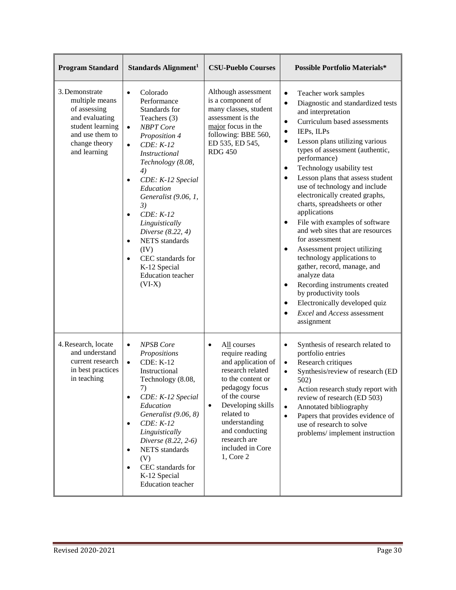| <b>Program Standard</b>                                                                                                                    | Standards Alignment <sup>1</sup>                                                                                                                                                                                                                                                                                                                                                                                                                                                  | <b>CSU-Pueblo Courses</b>                                                                                                                                                                                                                                                                   | <b>Possible Portfolio Materials*</b>                                                                                                                                                                                                                                                                                                                                                                                                                                                                                                                                                                                                                                                                                                                                                                                                                                                                             |
|--------------------------------------------------------------------------------------------------------------------------------------------|-----------------------------------------------------------------------------------------------------------------------------------------------------------------------------------------------------------------------------------------------------------------------------------------------------------------------------------------------------------------------------------------------------------------------------------------------------------------------------------|---------------------------------------------------------------------------------------------------------------------------------------------------------------------------------------------------------------------------------------------------------------------------------------------|------------------------------------------------------------------------------------------------------------------------------------------------------------------------------------------------------------------------------------------------------------------------------------------------------------------------------------------------------------------------------------------------------------------------------------------------------------------------------------------------------------------------------------------------------------------------------------------------------------------------------------------------------------------------------------------------------------------------------------------------------------------------------------------------------------------------------------------------------------------------------------------------------------------|
| 3. Demonstrate<br>multiple means<br>of assessing<br>and evaluating<br>student learning<br>and use them to<br>change theory<br>and learning | Colorado<br>$\bullet$<br>Performance<br>Standards for<br>Teachers (3)<br><b>NBPT</b> Core<br>$\bullet$<br>Proposition 4<br>$CDE: K-12$<br>$\bullet$<br><b>Instructional</b><br>Technology (8.08,<br>4)<br>CDE: K-12 Special<br>$\bullet$<br>Education<br>Generalist (9.06, 1,<br>3)<br>$CDE: K-12$<br>$\bullet$<br>Linguistically<br>Diverse (8.22, 4)<br><b>NETS</b> standards<br>$\bullet$<br>(IV)<br>CEC standards for<br>K-12 Special<br><b>Education</b> teacher<br>$(VI-X)$ | Although assessment<br>is a component of<br>many classes, student<br>assessment is the<br>major focus in the<br>following: BBE 560,<br>ED 535, ED 545,<br><b>RDG 450</b>                                                                                                                    | $\bullet$<br>Teacher work samples<br>Diagnostic and standardized tests<br>$\bullet$<br>and interpretation<br>Curriculum based assessments<br>$\bullet$<br>IEPs, ILPs<br>$\bullet$<br>Lesson plans utilizing various<br>$\bullet$<br>types of assessment (authentic,<br>performance)<br>Technology usability test<br>$\bullet$<br>Lesson plans that assess student<br>$\bullet$<br>use of technology and include<br>electronically created graphs,<br>charts, spreadsheets or other<br>applications<br>File with examples of software<br>$\bullet$<br>and web sites that are resources<br>for assessment<br>Assessment project utilizing<br>$\bullet$<br>technology applications to<br>gather, record, manage, and<br>analyze data<br>Recording instruments created<br>$\bullet$<br>by productivity tools<br>Electronically developed quiz<br>$\bullet$<br>Excel and Access assessment<br>$\bullet$<br>assignment |
| 4. Research, locate<br>and understand<br>current research<br>in best practices<br>in teaching                                              | <b>NPSB</b> Core<br>$\bullet$<br>Propositions<br><b>CDE: K-12</b><br>$\bullet$<br>Instructional<br>Technology (8.08,<br>7)<br>CDE: K-12 Special<br>$\bullet$<br>Education<br>Generalist (9.06, 8)<br>$CDE: K-12$<br>$\bullet$<br>Linguistically<br>Diverse (8.22, 2-6)<br><b>NETS</b> standards<br>$\bullet$<br>(V)<br>CEC standards for<br>$\bullet$<br>K-12 Special<br><b>Education</b> teacher                                                                                 | All courses<br>$\bullet$<br>require reading<br>and application of<br>research related<br>to the content or<br>pedagogy focus<br>of the course<br>Developing skills<br>$\bullet$<br>related to<br>understanding<br>and conducting<br>research are<br>included in Core<br>$1, \text{Core } 2$ | Synthesis of research related to<br>$\bullet$<br>portfolio entries<br>Research critiques<br>$\bullet$<br>Synthesis/review of research (ED<br>$\bullet$<br>502)<br>Action research study report with<br>٠<br>review of research (ED 503)<br>Annotated bibliography<br>$\bullet$<br>Papers that provides evidence of<br>$\bullet$<br>use of research to solve<br>problems/implement instruction                                                                                                                                                                                                                                                                                                                                                                                                                                                                                                                    |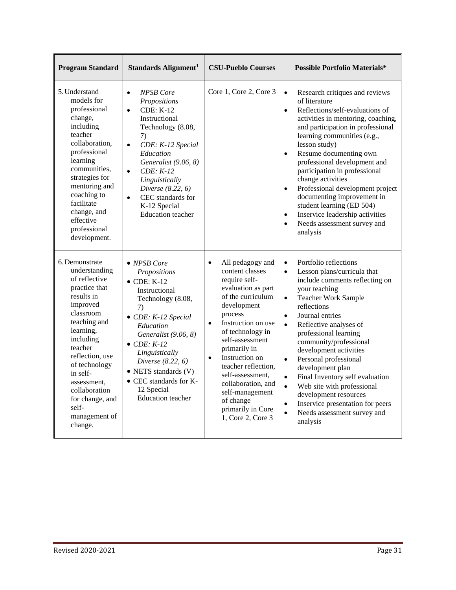| <b>Program Standard</b>                                                                                                                                                                                                                                                                               | Standards Alignment <sup>1</sup>                                                                                                                                                                                                                                                                                                                   | <b>CSU-Pueblo Courses</b>                                                                                                                                                                                                                                                                                                                                                                                  | <b>Possible Portfolio Materials*</b>                                                                                                                                                                                                                                                                                                                                                                                                                                                                                                                                                                                                   |
|-------------------------------------------------------------------------------------------------------------------------------------------------------------------------------------------------------------------------------------------------------------------------------------------------------|----------------------------------------------------------------------------------------------------------------------------------------------------------------------------------------------------------------------------------------------------------------------------------------------------------------------------------------------------|------------------------------------------------------------------------------------------------------------------------------------------------------------------------------------------------------------------------------------------------------------------------------------------------------------------------------------------------------------------------------------------------------------|----------------------------------------------------------------------------------------------------------------------------------------------------------------------------------------------------------------------------------------------------------------------------------------------------------------------------------------------------------------------------------------------------------------------------------------------------------------------------------------------------------------------------------------------------------------------------------------------------------------------------------------|
| 5. Understand<br>models for<br>professional<br>change,<br>including<br>teacher<br>collaboration,<br>professional<br>learning<br>communities,<br>strategies for<br>mentoring and<br>coaching to<br>facilitate<br>change, and<br>effective<br>professional<br>development.                              | <b>NPSB</b> Core<br>$\bullet$<br>Propositions<br><b>CDE: K-12</b><br>$\bullet$<br>Instructional<br>Technology (8.08,<br>7)<br>$\bullet$<br>CDE: K-12 Special<br>Education<br>Generalist (9.06, 8)<br>$CDE: K-12$<br>$\bullet$<br>Linguistically<br>Diverse (8.22, 6)<br>CEC standards for<br>$\bullet$<br>K-12 Special<br><b>Education</b> teacher | Core 1, Core 2, Core 3                                                                                                                                                                                                                                                                                                                                                                                     | Research critiques and reviews<br>$\bullet$<br>of literature<br>Reflections/self-evaluations of<br>$\bullet$<br>activities in mentoring, coaching,<br>and participation in professional<br>learning communities (e.g.,<br>lesson study)<br>Resume documenting own<br>$\bullet$<br>professional development and<br>participation in professional<br>change activities<br>Professional development project<br>$\bullet$<br>documenting improvement in<br>student learning (ED 504)<br>Inservice leadership activities<br>$\bullet$<br>Needs assessment survey and<br>$\bullet$<br>analysis                                               |
| 6. Demonstrate<br>understanding<br>of reflective<br>practice that<br>results in<br>improved<br>classroom<br>teaching and<br>learning,<br>including<br>teacher<br>reflection, use<br>of technology<br>in self-<br>assessment.<br>collaboration<br>for change, and<br>self-<br>management of<br>change. | • NPSB Core<br>Propositions<br>$\bullet$ CDE: K-12<br>Instructional<br>Technology (8.08,<br>7)<br>$\bullet$ CDE: K-12 Special<br>Education<br>Generalist (9.06, 8)<br>$\bullet$ CDE: K-12<br>Linguistically<br>Diverse (8.22, 6)<br>• NETS standards (V)<br>• CEC standards for K-<br>12 Special<br><b>Education</b> teacher                       | All pedagogy and<br>$\bullet$<br>content classes<br>require self-<br>evaluation as part<br>of the curriculum<br>development<br>process<br>Instruction on use<br>$\bullet$<br>of technology in<br>self-assessment<br>primarily in<br>Instruction on<br>$\bullet$<br>teacher reflection,<br>self-assessment,<br>collaboration, and<br>self-management<br>of change<br>primarily in Core<br>1, Core 2, Core 3 | Portfolio reflections<br>$\bullet$<br>Lesson plans/curricula that<br>$\bullet$<br>include comments reflecting on<br>your teaching<br><b>Teacher Work Sample</b><br>$\bullet$<br>reflections<br>Journal entries<br>$\bullet$<br>Reflective analyses of<br>$\bullet$<br>professional learning<br>community/professional<br>development activities<br>Personal professional<br>$\bullet$<br>development plan<br>Final Inventory self evaluation<br>$\bullet$<br>$\bullet$<br>Web site with professional<br>development resources<br>Inservice presentation for peers<br>$\bullet$<br>$\bullet$<br>Needs assessment survey and<br>analysis |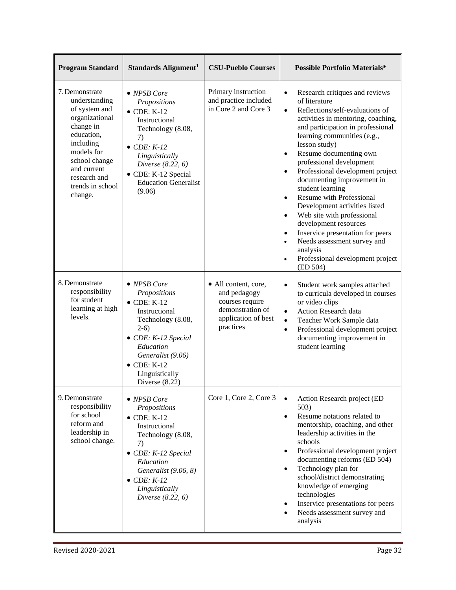| <b>Program Standard</b>                                                                                                                                                                                 | Standards Alignment <sup>1</sup>                                                                                                                                                                                                           | <b>CSU-Pueblo Courses</b>                                                                                       | <b>Possible Portfolio Materials*</b>                                                                                                                                                                                                                                                                                                                                                                                                                                                                                                                                                                                                                                                                           |
|---------------------------------------------------------------------------------------------------------------------------------------------------------------------------------------------------------|--------------------------------------------------------------------------------------------------------------------------------------------------------------------------------------------------------------------------------------------|-----------------------------------------------------------------------------------------------------------------|----------------------------------------------------------------------------------------------------------------------------------------------------------------------------------------------------------------------------------------------------------------------------------------------------------------------------------------------------------------------------------------------------------------------------------------------------------------------------------------------------------------------------------------------------------------------------------------------------------------------------------------------------------------------------------------------------------------|
| 7. Demonstrate<br>understanding<br>of system and<br>organizational<br>change in<br>education,<br>including<br>models for<br>school change<br>and current<br>research and<br>trends in school<br>change. | • NPSB Core<br>Propositions<br>$\bullet$ CDE: K-12<br>Instructional<br>Technology (8.08,<br>7)<br>$\bullet$ CDE: K-12<br>Linguistically<br>Diverse $(8.22, 6)$<br>• CDE: K-12 Special<br><b>Education Generalist</b><br>(9.06)             | Primary instruction<br>and practice included<br>in Core 2 and Core 3                                            | Research critiques and reviews<br>$\bullet$<br>of literature<br>Reflections/self-evaluations of<br>$\bullet$<br>activities in mentoring, coaching,<br>and participation in professional<br>learning communities (e.g.,<br>lesson study)<br>Resume documenting own<br>$\bullet$<br>professional development<br>Professional development project<br>$\bullet$<br>documenting improvement in<br>student learning<br><b>Resume with Professional</b><br>$\bullet$<br>Development activities listed<br>Web site with professional<br>$\bullet$<br>development resources<br>Inservice presentation for peers<br>$\bullet$<br>Needs assessment survey and<br>analysis<br>Professional development project<br>(ED 504) |
| 8. Demonstrate<br>responsibility<br>for student<br>learning at high<br>levels.                                                                                                                          | $\bullet$ NPSB Core<br>Propositions<br>$\bullet$ CDE: K-12<br>Instructional<br>Technology (8.08,<br>$2-6)$<br>• CDE: K-12 Special<br>Education<br>Generalist (9.06)<br>$\bullet$ CDE: K-12<br>Linguistically<br>Diverse $(8.22)$           | • All content, core,<br>and pedagogy<br>courses require<br>demonstration of<br>application of best<br>practices | Student work samples attached<br>$\bullet$<br>to curricula developed in courses<br>or video clips<br>Action Research data<br>$\bullet$<br>Teacher Work Sample data<br>$\bullet$<br>Professional development project<br>$\bullet$<br>documenting improvement in<br>student learning                                                                                                                                                                                                                                                                                                                                                                                                                             |
| 9. Demonstrate<br>responsibility<br>for school<br>reform and<br>leadership in<br>school change.                                                                                                         | $\bullet$ NPSB Core<br>Propositions<br>$\bullet$ CDE: K-12<br>Instructional<br>Technology (8.08,<br>7)<br>$\bullet$ CDE: K-12 Special<br>Education<br>Generalist (9.06, 8)<br>$\bullet$ CDE: K-12<br>Linguistically<br>Diverse $(8.22, 6)$ | Core 1, Core 2, Core 3                                                                                          | Action Research project (ED<br>503)<br>Resume notations related to<br>$\bullet$<br>mentorship, coaching, and other<br>leadership activities in the<br>schools<br>Professional development project<br>documenting reforms (ED 504)<br>Technology plan for<br>$\bullet$<br>school/district demonstrating<br>knowledge of emerging<br>technologies<br>Inservice presentations for peers<br>Needs assessment survey and<br>analysis                                                                                                                                                                                                                                                                                |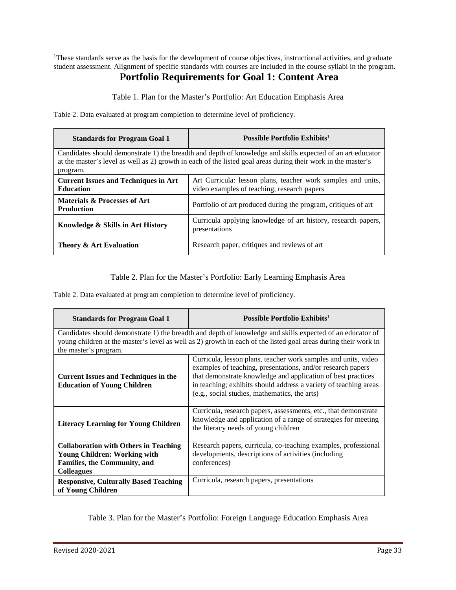<sup>1</sup>These standards serve as the basis for the development of course objectives, instructional activities, and graduate student assessment. Alignment of specific standards with courses are included in the course syllabi in the program.

# **Portfolio Requirements for Goal 1: Content Area**

Table 1. Plan for the Master's Portfolio: Art Education Emphasis Area

Table 2. Data evaluated at program completion to determine level of proficiency.

| <b>Standards for Program Goal 1</b>                                                                                                                                                                                                     | Possible Portfolio Exhibits <sup>1</sup>                                                                    |  |
|-----------------------------------------------------------------------------------------------------------------------------------------------------------------------------------------------------------------------------------------|-------------------------------------------------------------------------------------------------------------|--|
| Candidates should demonstrate 1) the breadth and depth of knowledge and skills expected of an art educator<br>at the master's level as well as 2) growth in each of the listed goal areas during their work in the master's<br>program. |                                                                                                             |  |
| <b>Current Issues and Techniques in Art</b><br><b>Education</b>                                                                                                                                                                         | Art Curricula: lesson plans, teacher work samples and units,<br>video examples of teaching, research papers |  |
| Materials & Processes of Art<br><b>Production</b>                                                                                                                                                                                       | Portfolio of art produced during the program, critiques of art                                              |  |
| Knowledge & Skills in Art History                                                                                                                                                                                                       | Curricula applying knowledge of art history, research papers,<br>presentations                              |  |
| Theory & Art Evaluation                                                                                                                                                                                                                 | Research paper, critiques and reviews of art                                                                |  |

#### Table 2. Plan for the Master's Portfolio: Early Learning Emphasis Area

Table 2. Data evaluated at program completion to determine level of proficiency.

| <b>Standards for Program Goal 1</b>                                                                                                                                                                                                                   | Possible Portfolio Exhibits <sup>1</sup>                                                                                                                                                                                                                                                                           |
|-------------------------------------------------------------------------------------------------------------------------------------------------------------------------------------------------------------------------------------------------------|--------------------------------------------------------------------------------------------------------------------------------------------------------------------------------------------------------------------------------------------------------------------------------------------------------------------|
| Candidates should demonstrate 1) the breadth and depth of knowledge and skills expected of an educator of<br>young children at the master's level as well as 2) growth in each of the listed goal areas during their work in<br>the master's program. |                                                                                                                                                                                                                                                                                                                    |
| <b>Current Issues and Techniques in the</b><br><b>Education of Young Children</b>                                                                                                                                                                     | Curricula, lesson plans, teacher work samples and units, video<br>examples of teaching, presentations, and/or research papers<br>that demonstrate knowledge and application of best practices<br>in teaching; exhibits should address a variety of teaching areas<br>(e.g., social studies, mathematics, the arts) |
| <b>Literacy Learning for Young Children</b>                                                                                                                                                                                                           | Curricula, research papers, assessments, etc., that demonstrate<br>knowledge and application of a range of strategies for meeting<br>the literacy needs of young children                                                                                                                                          |
| <b>Collaboration with Others in Teaching</b><br><b>Young Children: Working with</b><br><b>Families, the Community, and</b><br><b>Colleagues</b>                                                                                                       | Research papers, curricula, co-teaching examples, professional<br>developments, descriptions of activities (including<br>conferences)                                                                                                                                                                              |
| <b>Responsive, Culturally Based Teaching</b><br>of Young Children                                                                                                                                                                                     | Curricula, research papers, presentations                                                                                                                                                                                                                                                                          |

Table 3. Plan for the Master's Portfolio: Foreign Language Education Emphasis Area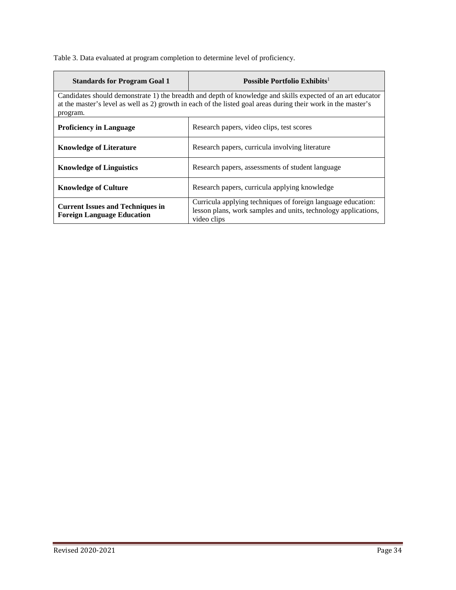Table 3. Data evaluated at program completion to determine level of proficiency.

| <b>Standards for Program Goal 1</b>                                          | Possible Portfolio Exhibits <sup>1</sup>                                                                                                                                                                                    |
|------------------------------------------------------------------------------|-----------------------------------------------------------------------------------------------------------------------------------------------------------------------------------------------------------------------------|
| program.                                                                     | Candidates should demonstrate 1) the breadth and depth of knowledge and skills expected of an art educator<br>at the master's level as well as 2) growth in each of the listed goal areas during their work in the master's |
| <b>Proficiency in Language</b>                                               | Research papers, video clips, test scores                                                                                                                                                                                   |
| <b>Knowledge of Literature</b>                                               | Research papers, curricula involving literature                                                                                                                                                                             |
| <b>Knowledge of Linguistics</b>                                              | Research papers, assessments of student language                                                                                                                                                                            |
| <b>Knowledge of Culture</b>                                                  | Research papers, curricula applying knowledge                                                                                                                                                                               |
| <b>Current Issues and Techniques in</b><br><b>Foreign Language Education</b> | Curricula applying techniques of foreign language education:<br>lesson plans, work samples and units, technology applications,<br>video clips                                                                               |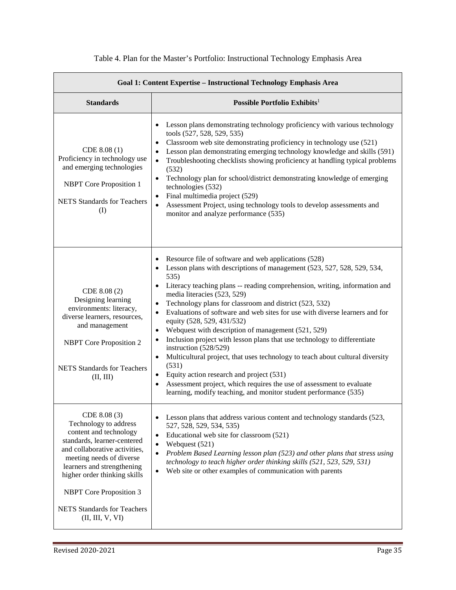| Goal 1: Content Expertise - Instructional Technology Emphasis Area                                                                                                                                                                                                                                                    |                                                                                                                                                                                                                                                                                                                                                                                                                                                                                                                                                                                                                                                                                                                                                                                                                                                                                                                             |  |
|-----------------------------------------------------------------------------------------------------------------------------------------------------------------------------------------------------------------------------------------------------------------------------------------------------------------------|-----------------------------------------------------------------------------------------------------------------------------------------------------------------------------------------------------------------------------------------------------------------------------------------------------------------------------------------------------------------------------------------------------------------------------------------------------------------------------------------------------------------------------------------------------------------------------------------------------------------------------------------------------------------------------------------------------------------------------------------------------------------------------------------------------------------------------------------------------------------------------------------------------------------------------|--|
| <b>Standards</b>                                                                                                                                                                                                                                                                                                      | Possible Portfolio Exhibits <sup>1</sup>                                                                                                                                                                                                                                                                                                                                                                                                                                                                                                                                                                                                                                                                                                                                                                                                                                                                                    |  |
| CDE 8.08 (1)<br>Proficiency in technology use<br>and emerging technologies<br><b>NBPT</b> Core Proposition 1<br><b>NETS</b> Standards for Teachers<br>(I)                                                                                                                                                             | Lesson plans demonstrating technology proficiency with various technology<br>tools (527, 528, 529, 535)<br>Classroom web site demonstrating proficiency in technology use (521)<br>٠<br>Lesson plan demonstrating emerging technology knowledge and skills (591)<br>Troubleshooting checklists showing proficiency at handling typical problems<br>$\bullet$<br>(532)<br>Technology plan for school/district demonstrating knowledge of emerging<br>$\bullet$<br>technologies (532)<br>Final multimedia project (529)<br>$\bullet$<br>Assessment Project, using technology tools to develop assessments and<br>monitor and analyze performance (535)                                                                                                                                                                                                                                                                        |  |
| CDE 8.08 (2)<br>Designing learning<br>environments: literacy,<br>diverse learners, resources,<br>and management<br><b>NBPT</b> Core Proposition 2<br><b>NETS</b> Standards for Teachers<br>(II, III)                                                                                                                  | Resource file of software and web applications (528)<br>Lesson plans with descriptions of management (523, 527, 528, 529, 534,<br>535)<br>Literacy teaching plans -- reading comprehension, writing, information and<br>media literacies (523, 529)<br>Technology plans for classroom and district (523, 532)<br>$\bullet$<br>Evaluations of software and web sites for use with diverse learners and for<br>equity (528, 529, 431/532)<br>Webquest with description of management (521, 529)<br>$\bullet$<br>Inclusion project with lesson plans that use technology to differentiate<br>instruction (528/529)<br>Multicultural project, that uses technology to teach about cultural diversity<br>$\bullet$<br>(531)<br>Equity action research and project (531)<br>$\bullet$<br>Assessment project, which requires the use of assessment to evaluate<br>learning, modify teaching, and monitor student performance (535) |  |
| CDE 8.08 (3)<br>Technology to address<br>content and technology<br>standards, learner-centered<br>and collaborative activities,<br>meeting needs of diverse<br>learners and strengthening<br>higher order thinking skills<br><b>NBPT</b> Core Proposition 3<br><b>NETS</b> Standards for Teachers<br>(II, III, V, VI) | Lesson plans that address various content and technology standards (523,<br>527, 528, 529, 534, 535)<br>Educational web site for classroom (521)<br>$\bullet$<br>Webquest (521)<br>$\bullet$<br>Problem Based Learning lesson plan (523) and other plans that stress using<br>$\bullet$<br>technology to teach higher order thinking skills (521, 523, 529, 531)<br>Web site or other examples of communication with parents<br>$\bullet$                                                                                                                                                                                                                                                                                                                                                                                                                                                                                   |  |

### Table 4. Plan for the Master's Portfolio: Instructional Technology Emphasis Area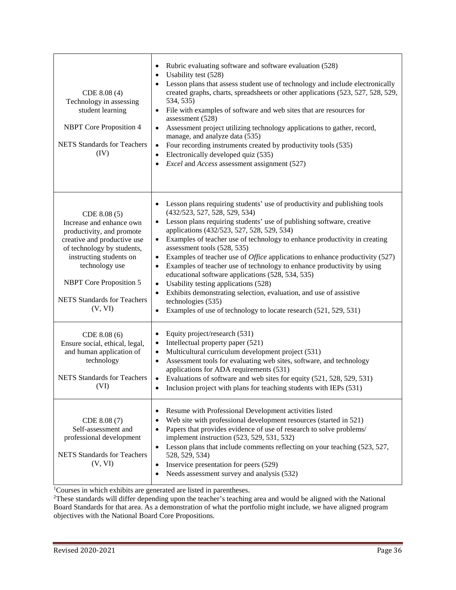| CDE 8.08 (4)<br>Technology in assessing<br>student learning<br><b>NBPT</b> Core Proposition 4<br><b>NETS</b> Standards for Teachers<br>(IV)                                                                                                                        | Rubric evaluating software and software evaluation (528)<br>٠<br>Usability test (528)<br>٠<br>Lesson plans that assess student use of technology and include electronically<br>created graphs, charts, spreadsheets or other applications (523, 527, 528, 529,<br>534, 535)<br>File with examples of software and web sites that are resources for<br>$\bullet$<br>assessment (528)<br>Assessment project utilizing technology applications to gather, record,<br>$\bullet$<br>manage, and analyze data (535)<br>Four recording instruments created by productivity tools (535)<br>$\bullet$<br>Electronically developed quiz (535)<br>$\bullet$<br>Excel and Access assessment assignment (527)<br>$\bullet$                                                                                                                                             |
|--------------------------------------------------------------------------------------------------------------------------------------------------------------------------------------------------------------------------------------------------------------------|-----------------------------------------------------------------------------------------------------------------------------------------------------------------------------------------------------------------------------------------------------------------------------------------------------------------------------------------------------------------------------------------------------------------------------------------------------------------------------------------------------------------------------------------------------------------------------------------------------------------------------------------------------------------------------------------------------------------------------------------------------------------------------------------------------------------------------------------------------------|
| CDE 8.08 (5)<br>Increase and enhance own<br>productivity, and promote<br>creative and productive use<br>of technology by students,<br>instructing students on<br>technology use<br><b>NBPT</b> Core Proposition 5<br><b>NETS</b> Standards for Teachers<br>(V, VI) | Lesson plans requiring students' use of productivity and publishing tools<br>(432/523, 527, 528, 529, 534)<br>Lesson plans requiring students' use of publishing software, creative<br>$\bullet$<br>applications (432/523, 527, 528, 529, 534)<br>Examples of teacher use of technology to enhance productivity in creating<br>$\bullet$<br>assessment tools (528, 535)<br>Examples of teacher use of <i>Office</i> applications to enhance productivity (527)<br>$\bullet$<br>Examples of teacher use of technology to enhance productivity by using<br>$\bullet$<br>educational software applications (528, 534, 535)<br>Usability testing applications (528)<br>$\bullet$<br>Exhibits demonstrating selection, evaluation, and use of assistive<br>$\bullet$<br>technologies (535)<br>Examples of use of technology to locate research (521, 529, 531) |
| CDE 8.08 (6)<br>Ensure social, ethical, legal,<br>and human application of<br>technology<br><b>NETS</b> Standards for Teachers<br>(VI)                                                                                                                             | Equity project/research (531)<br>٠<br>Intellectual property paper (521)<br>$\bullet$<br>Multicultural curriculum development project (531)<br>$\bullet$<br>Assessment tools for evaluating web sites, software, and technology<br>٠<br>applications for ADA requirements (531)<br>Evaluations of software and web sites for equity (521, 528, 529, 531)<br>Inclusion project with plans for teaching students with IEPs (531)                                                                                                                                                                                                                                                                                                                                                                                                                             |
| CDE 8.08 (7)<br>Self-assessment and<br>professional development<br><b>NETS</b> Standards for Teachers<br>(V, VI)                                                                                                                                                   | Resume with Professional Development activities listed<br>٠<br>Web site with professional development resources (started in 521)<br>Papers that provides evidence of use of research to solve problems/<br>٠<br>implement instruction (523, 529, 531, 532)<br>Lesson plans that include comments reflecting on your teaching (523, 527,<br>528, 529, 534)<br>Inservice presentation for peers (529)<br>$\bullet$<br>Needs assessment survey and analysis (532)                                                                                                                                                                                                                                                                                                                                                                                            |

<sup>1</sup>Courses in which exhibits are generated are listed in parentheses.

<sup>2</sup>These standards will differ depending upon the teacher's teaching area and would be aligned with the National Board Standards for that area. As a demonstration of what the portfolio might include, we have aligned program objectives with the National Board Core Propositions.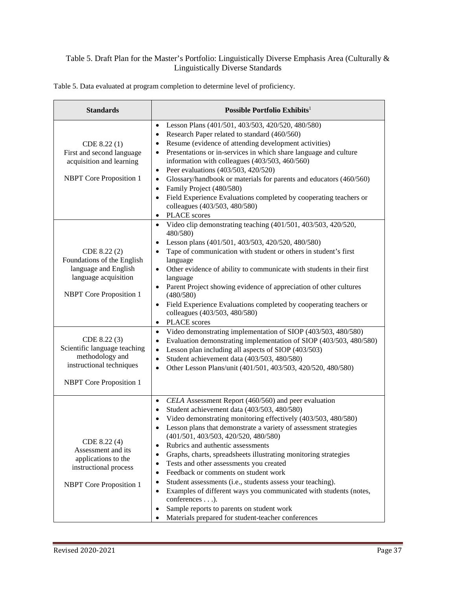#### Table 5. Draft Plan for the Master's Portfolio: Linguistically Diverse Emphasis Area (Culturally & Linguistically Diverse Standards

| <b>Standards</b>                                                                                                                                                                                                            | Possible Portfolio Exhibits <sup>1</sup>                                                                                                                                                                                                                                                                                                                                                                                                                                                                                                                                                                                                                                                                                                                                                                                                                                                                                                                                                   |
|-----------------------------------------------------------------------------------------------------------------------------------------------------------------------------------------------------------------------------|--------------------------------------------------------------------------------------------------------------------------------------------------------------------------------------------------------------------------------------------------------------------------------------------------------------------------------------------------------------------------------------------------------------------------------------------------------------------------------------------------------------------------------------------------------------------------------------------------------------------------------------------------------------------------------------------------------------------------------------------------------------------------------------------------------------------------------------------------------------------------------------------------------------------------------------------------------------------------------------------|
| CDE 8.22 (1)<br>First and second language<br>acquisition and learning<br><b>NBPT</b> Core Proposition 1                                                                                                                     | Lesson Plans (401/501, 403/503, 420/520, 480/580)<br>$\bullet$<br>Research Paper related to standard (460/560)<br>$\bullet$<br>Resume (evidence of attending development activities)<br>$\bullet$<br>Presentations or in-services in which share language and culture<br>$\bullet$<br>information with colleagues (403/503, 460/560)<br>Peer evaluations (403/503, 420/520)<br>$\bullet$<br>Glossary/handbook or materials for parents and educators (460/560)<br>$\bullet$<br>Family Project (480/580)<br>$\bullet$<br>Field Experience Evaluations completed by cooperating teachers or<br>$\bullet$<br>colleagues (403/503, 480/580)<br><b>PLACE</b> scores<br>$\bullet$                                                                                                                                                                                                                                                                                                                |
| CDE 8.22 (2)<br>Foundations of the English<br>language and English<br>language acquisition<br><b>NBPT</b> Core Proposition 1<br>CDE 8.22 (3)<br>Scientific language teaching<br>methodology and<br>instructional techniques | Video clip demonstrating teaching (401/501, 403/503, 420/520,<br>$\bullet$<br>480/580)<br>Lesson plans (401/501, 403/503, 420/520, 480/580)<br>$\bullet$<br>Tape of communication with student or others in student's first<br>$\bullet$<br>language<br>Other evidence of ability to communicate with students in their first<br>$\bullet$<br>language<br>Parent Project showing evidence of appreciation of other cultures<br>$\bullet$<br>(480/580)<br>Field Experience Evaluations completed by cooperating teachers or<br>$\bullet$<br>colleagues (403/503, 480/580)<br><b>PLACE</b> scores<br>$\bullet$<br>Video demonstrating implementation of SIOP (403/503, 480/580)<br>$\bullet$<br>Evaluation demonstrating implementation of SIOP (403/503, 480/580)<br>$\bullet$<br>Lesson plan including all aspects of SIOP (403/503)<br>$\bullet$<br>Student achievement data (403/503, 480/580)<br>$\bullet$<br>Other Lesson Plans/unit (401/501, 403/503, 420/520, 480/580)<br>$\bullet$ |
| <b>NBPT</b> Core Proposition 1<br>CDE 8.22 (4)<br>Assessment and its<br>applications to the<br>instructional process<br><b>NBPT</b> Core Proposition 1                                                                      | CELA Assessment Report (460/560) and peer evaluation<br>$\bullet$<br>Student achievement data (403/503, 480/580)<br>$\bullet$<br>Video demonstrating monitoring effectively (403/503, 480/580)<br>$\bullet$<br>Lesson plans that demonstrate a variety of assessment strategies<br>$\bullet$<br>(401/501, 403/503, 420/520, 480/580)<br>Rubrics and authentic assessments<br>$\bullet$<br>Graphs, charts, spreadsheets illustrating monitoring strategies<br>$\bullet$<br>Tests and other assessments you created<br>$\bullet$<br>Feedback or comments on student work<br>$\bullet$<br>Student assessments (i.e., students assess your teaching).<br>$\bullet$<br>Examples of different ways you communicated with students (notes,<br>$\bullet$<br>conferences).<br>Sample reports to parents on student work<br>$\bullet$<br>Materials prepared for student-teacher conferences<br>$\bullet$                                                                                             |

Table 5. Data evaluated at program completion to determine level of proficiency.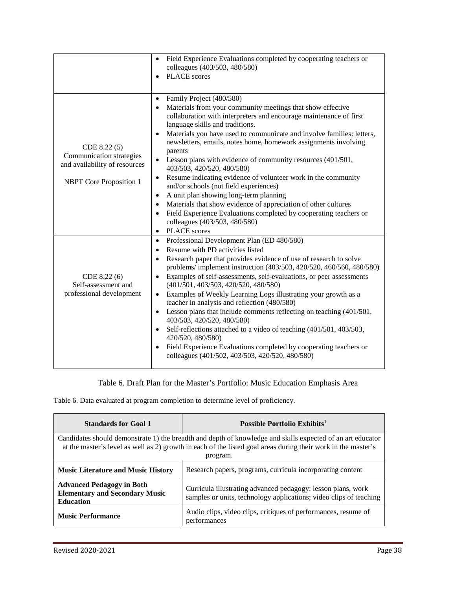|                                                                                                             | Field Experience Evaluations completed by cooperating teachers or<br>$\bullet$<br>colleagues (403/503, 480/580)<br><b>PLACE</b> scores<br>$\bullet$                                                                                                                                                                                                                                                                                                                                                                                                                                                                                                                                                                                                                                                                                                                                                                   |
|-------------------------------------------------------------------------------------------------------------|-----------------------------------------------------------------------------------------------------------------------------------------------------------------------------------------------------------------------------------------------------------------------------------------------------------------------------------------------------------------------------------------------------------------------------------------------------------------------------------------------------------------------------------------------------------------------------------------------------------------------------------------------------------------------------------------------------------------------------------------------------------------------------------------------------------------------------------------------------------------------------------------------------------------------|
| CDE 8.22 (5)<br>Communication strategies<br>and availability of resources<br><b>NBPT</b> Core Proposition 1 | Family Project (480/580)<br>$\bullet$<br>Materials from your community meetings that show effective<br>$\bullet$<br>collaboration with interpreters and encourage maintenance of first<br>language skills and traditions.<br>Materials you have used to communicate and involve families: letters,<br>$\bullet$<br>newsletters, emails, notes home, homework assignments involving<br>parents<br>Lesson plans with evidence of community resources (401/501,<br>$\bullet$<br>403/503, 420/520, 480/580)<br>Resume indicating evidence of volunteer work in the community<br>$\bullet$<br>and/or schools (not field experiences)<br>A unit plan showing long-term planning<br>$\bullet$<br>Materials that show evidence of appreciation of other cultures<br>$\bullet$<br>Field Experience Evaluations completed by cooperating teachers or<br>$\bullet$<br>colleagues (403/503, 480/580)<br>PLACE scores<br>$\bullet$ |
| CDE 8.22(6)<br>Self-assessment and<br>professional development                                              | Professional Development Plan (ED 480/580)<br>$\bullet$<br>Resume with PD activities listed<br>$\bullet$<br>Research paper that provides evidence of use of research to solve<br>$\bullet$<br>problems/ implement instruction (403/503, 420/520, 460/560, 480/580)<br>Examples of self-assessments, self-evaluations, or peer assessments<br>$\bullet$<br>(401/501, 403/503, 420/520, 480/580)<br>Examples of Weekly Learning Logs illustrating your growth as a<br>$\bullet$<br>teacher in analysis and reflection (480/580)<br>Lesson plans that include comments reflecting on teaching (401/501,<br>$\bullet$<br>403/503, 420/520, 480/580)<br>Self-reflections attached to a video of teaching (401/501, 403/503,<br>$\bullet$<br>420/520, 480/580)<br>Field Experience Evaluations completed by cooperating teachers or<br>$\bullet$<br>colleagues (401/502, 403/503, 420/520, 480/580)                         |

#### Table 6. Draft Plan for the Master's Portfolio: Music Education Emphasis Area

Table 6. Data evaluated at program completion to determine level of proficiency.

| <b>Standards for Goal 1</b>                                                                                                                                                                                                             | Possible Portfolio Exhibits <sup>1</sup>                                                                                           |  |
|-----------------------------------------------------------------------------------------------------------------------------------------------------------------------------------------------------------------------------------------|------------------------------------------------------------------------------------------------------------------------------------|--|
| Candidates should demonstrate 1) the breadth and depth of knowledge and skills expected of an art educator<br>at the master's level as well as 2) growth in each of the listed goal areas during their work in the master's<br>program. |                                                                                                                                    |  |
| <b>Music Literature and Music History</b>                                                                                                                                                                                               | Research papers, programs, curricula incorporating content                                                                         |  |
| <b>Advanced Pedagogy in Both</b><br><b>Elementary and Secondary Music</b><br><b>Education</b>                                                                                                                                           | Curricula illustrating advanced pedagogy: lesson plans, work<br>samples or units, technology applications; video clips of teaching |  |
| <b>Music Performance</b>                                                                                                                                                                                                                | Audio clips, video clips, critiques of performances, resume of<br>performances                                                     |  |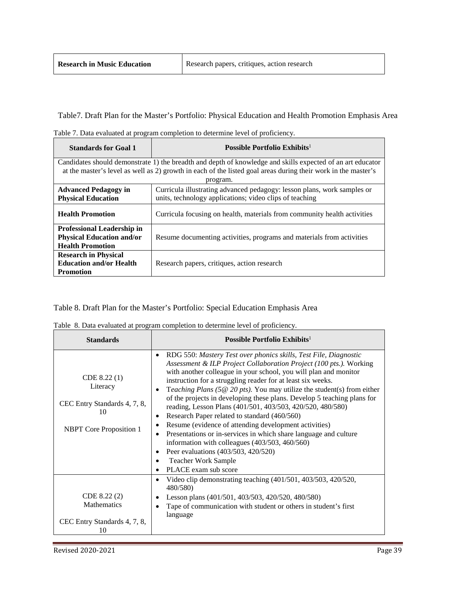Table7. Draft Plan for the Master's Portfolio: Physical Education and Health Promotion Emphasis Area

Table 7. Data evaluated at program completion to determine level of proficiency.

| <b>Standards for Goal 1</b>       | Possible Portfolio Exhibits <sup>1</sup>                                                                      |
|-----------------------------------|---------------------------------------------------------------------------------------------------------------|
|                                   | Candidates should demonstrate 1) the breadth and depth of knowledge and skills expected of an art educator    |
|                                   | at the master's level as well as 2) growth in each of the listed goal areas during their work in the master's |
|                                   | program.                                                                                                      |
| <b>Advanced Pedagogy in</b>       | Curricula illustrating advanced pedagogy: lesson plans, work samples or                                       |
| <b>Physical Education</b>         | units, technology applications; video clips of teaching                                                       |
| <b>Health Promotion</b>           | Curricula focusing on health, materials from community health activities                                      |
| <b>Professional Leadership in</b> |                                                                                                               |
| <b>Physical Education and/or</b>  | Resume documenting activities, programs and materials from activities                                         |
| <b>Health Promotion</b>           |                                                                                                               |
| <b>Research in Physical</b>       |                                                                                                               |
| <b>Education and/or Health</b>    | Research papers, critiques, action research                                                                   |
| <b>Promotion</b>                  |                                                                                                               |

Table 8. Draft Plan for the Master's Portfolio: Special Education Emphasis Area

| Table 8. Data evaluated at program completion to determine level of proficiency. |  |  |  |
|----------------------------------------------------------------------------------|--|--|--|
|----------------------------------------------------------------------------------|--|--|--|

| <b>Standards</b>                                                                                 | Possible Portfolio Exhibits <sup>1</sup>                                                                                                                                                                                                                                                                                                                                                                                                                                                                                                                                                                                                                                                                                                                                                                                                                                       |
|--------------------------------------------------------------------------------------------------|--------------------------------------------------------------------------------------------------------------------------------------------------------------------------------------------------------------------------------------------------------------------------------------------------------------------------------------------------------------------------------------------------------------------------------------------------------------------------------------------------------------------------------------------------------------------------------------------------------------------------------------------------------------------------------------------------------------------------------------------------------------------------------------------------------------------------------------------------------------------------------|
| CDE 8.22 (1)<br>Literacy<br>CEC Entry Standards 4, 7, 8,<br>10<br><b>NBPT</b> Core Proposition 1 | RDG 550: Mastery Test over phonics skills, Test File, Diagnostic<br>$\bullet$<br>Assessment & ILP Project Collaboration Project (100 pts.). Working<br>with another colleague in your school, you will plan and monitor<br>instruction for a struggling reader for at least six weeks.<br>Teaching Plans (5 $@$ 20 pts). You may utilize the student(s) from either<br>$\bullet$<br>of the projects in developing these plans. Develop 5 teaching plans for<br>reading, Lesson Plans (401/501, 403/503, 420/520, 480/580)<br>Research Paper related to standard (460/560)<br>٠<br>Resume (evidence of attending development activities)<br>Presentations or in-services in which share language and culture<br>$\bullet$<br>information with colleagues $(403/503, 460/560)$<br>Peer evaluations (403/503, 420/520)<br>٠<br><b>Teacher Work Sample</b><br>PLACE exam sub score |
| CDE 8.22 (2)<br><b>Mathematics</b><br>CEC Entry Standards 4, 7, 8,                               | Video clip demonstrating teaching (401/501, 403/503, 420/520,<br>٠<br>480/580)<br>Lesson plans (401/501, 403/503, 420/520, 480/580)<br>Tape of communication with student or others in student's first<br>language                                                                                                                                                                                                                                                                                                                                                                                                                                                                                                                                                                                                                                                             |
| 10                                                                                               |                                                                                                                                                                                                                                                                                                                                                                                                                                                                                                                                                                                                                                                                                                                                                                                                                                                                                |

 $\overline{\phantom{0}}$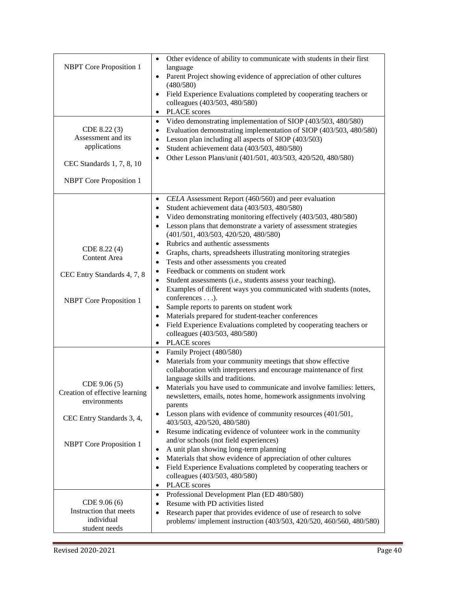| <b>NBPT</b> Core Proposition 1<br>CDE 8.22 (3)<br>Assessment and its<br>applications<br>CEC Standards 1, 7, 8, 10<br><b>NBPT</b> Core Proposition 1 | Other evidence of ability to communicate with students in their first<br>$\bullet$<br>language<br>Parent Project showing evidence of appreciation of other cultures<br>$\bullet$<br>(480/580)<br>Field Experience Evaluations completed by cooperating teachers or<br>$\bullet$<br>colleagues (403/503, 480/580)<br><b>PLACE</b> scores<br>$\bullet$<br>Video demonstrating implementation of SIOP (403/503, 480/580)<br>$\bullet$<br>Evaluation demonstrating implementation of SIOP (403/503, 480/580)<br>$\bullet$<br>Lesson plan including all aspects of SIOP (403/503)<br>$\bullet$<br>Student achievement data (403/503, 480/580)<br>$\bullet$<br>Other Lesson Plans/unit (401/501, 403/503, 420/520, 480/580)<br>$\bullet$                                                                                                                                                                                                                                                                                |
|-----------------------------------------------------------------------------------------------------------------------------------------------------|-------------------------------------------------------------------------------------------------------------------------------------------------------------------------------------------------------------------------------------------------------------------------------------------------------------------------------------------------------------------------------------------------------------------------------------------------------------------------------------------------------------------------------------------------------------------------------------------------------------------------------------------------------------------------------------------------------------------------------------------------------------------------------------------------------------------------------------------------------------------------------------------------------------------------------------------------------------------------------------------------------------------|
| CDE 8.22 (4)<br><b>Content Area</b><br>CEC Entry Standards 4, 7, 8<br><b>NBPT</b> Core Proposition 1                                                | CELA Assessment Report (460/560) and peer evaluation<br>$\bullet$<br>Student achievement data (403/503, 480/580)<br>$\bullet$<br>Video demonstrating monitoring effectively (403/503, 480/580)<br>$\bullet$<br>Lesson plans that demonstrate a variety of assessment strategies<br>$\bullet$<br>(401/501, 403/503, 420/520, 480/580)<br>Rubrics and authentic assessments<br>$\bullet$<br>Graphs, charts, spreadsheets illustrating monitoring strategies<br>$\bullet$<br>Tests and other assessments you created<br>$\bullet$<br>Feedback or comments on student work<br>$\bullet$<br>Student assessments (i.e., students assess your teaching).<br>$\bullet$<br>Examples of different ways you communicated with students (notes,<br>$\bullet$<br>conferences).<br>Sample reports to parents on student work<br>$\bullet$<br>Materials prepared for student-teacher conferences<br>$\bullet$<br>Field Experience Evaluations completed by cooperating teachers or<br>$\bullet$<br>colleagues (403/503, 480/580) |
| CDE 9.06 (5)<br>Creation of effective learning<br>environments<br>CEC Entry Standards 3, 4,<br><b>NBPT</b> Core Proposition 1                       | PLACE scores<br>$\bullet$<br>Family Project (480/580)<br>$\bullet$<br>Materials from your community meetings that show effective<br>$\bullet$<br>collaboration with interpreters and encourage maintenance of first<br>language skills and traditions.<br>Materials you have used to communicate and involve families: letters,<br>newsletters, emails, notes home, homework assignments involving<br>parents<br>Lesson plans with evidence of community resources (401/501,<br>$\bullet$<br>403/503, 420/520, 480/580)<br>Resume indicating evidence of volunteer work in the community<br>$\bullet$<br>and/or schools (not field experiences)<br>A unit plan showing long-term planning<br>$\bullet$<br>Materials that show evidence of appreciation of other cultures<br>$\bullet$<br>Field Experience Evaluations completed by cooperating teachers or<br>$\bullet$<br>colleagues (403/503, 480/580)<br><b>PLACE</b> scores<br>$\bullet$                                                                      |
| CDE 9.06 (6)<br>Instruction that meets<br>individual<br>student needs                                                                               | Professional Development Plan (ED 480/580)<br>$\bullet$<br>Resume with PD activities listed<br>$\bullet$<br>Research paper that provides evidence of use of research to solve<br>$\bullet$<br>problems/ implement instruction (403/503, 420/520, 460/560, 480/580)                                                                                                                                                                                                                                                                                                                                                                                                                                                                                                                                                                                                                                                                                                                                                |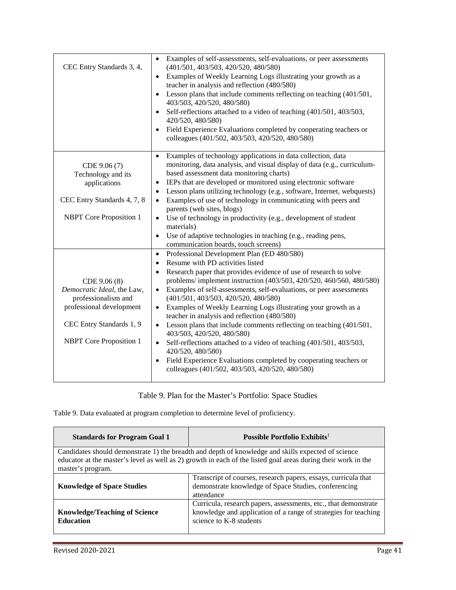| CEC Entry Standards 3, 4,          | Examples of self-assessments, self-evaluations, or peer assessments<br>$\bullet$<br>(401/501, 403/503, 420/520, 480/580)<br>Examples of Weekly Learning Logs illustrating your growth as a<br>$\bullet$<br>teacher in analysis and reflection (480/580)<br>Lesson plans that include comments reflecting on teaching (401/501,<br>$\bullet$<br>403/503, 420/520, 480/580)<br>Self-reflections attached to a video of teaching (401/501, 403/503,<br>$\bullet$<br>420/520, 480/580)<br>Field Experience Evaluations completed by cooperating teachers or<br>$\bullet$<br>colleagues (401/502, 403/503, 420/520, 480/580) |
|------------------------------------|-------------------------------------------------------------------------------------------------------------------------------------------------------------------------------------------------------------------------------------------------------------------------------------------------------------------------------------------------------------------------------------------------------------------------------------------------------------------------------------------------------------------------------------------------------------------------------------------------------------------------|
|                                    | Examples of technology applications in data collection, data<br>$\bullet$                                                                                                                                                                                                                                                                                                                                                                                                                                                                                                                                               |
| CDE 9.06 (7)                       | monitoring, data analysis, and visual display of data (e.g., curriculum-                                                                                                                                                                                                                                                                                                                                                                                                                                                                                                                                                |
| Technology and its<br>applications | based assessment data monitoring charts)<br>IEPs that are developed or monitored using electronic software<br>$\bullet$                                                                                                                                                                                                                                                                                                                                                                                                                                                                                                 |
|                                    | Lesson plans utilizing technology (e.g., software, Internet, webquests)<br>$\bullet$                                                                                                                                                                                                                                                                                                                                                                                                                                                                                                                                    |
| CEC Entry Standards 4, 7, 8        | Examples of use of technology in communicating with peers and<br>$\bullet$                                                                                                                                                                                                                                                                                                                                                                                                                                                                                                                                              |
|                                    | parents (web sites, blogs)                                                                                                                                                                                                                                                                                                                                                                                                                                                                                                                                                                                              |
| <b>NBPT</b> Core Proposition 1     | Use of technology in productivity (e.g., development of student<br>$\bullet$                                                                                                                                                                                                                                                                                                                                                                                                                                                                                                                                            |
|                                    | materials)                                                                                                                                                                                                                                                                                                                                                                                                                                                                                                                                                                                                              |
|                                    | Use of adaptive technologies in teaching (e.g., reading pens,<br>$\bullet$                                                                                                                                                                                                                                                                                                                                                                                                                                                                                                                                              |
|                                    | communication boards, touch screens)                                                                                                                                                                                                                                                                                                                                                                                                                                                                                                                                                                                    |
|                                    | Professional Development Plan (ED 480/580)<br>$\bullet$                                                                                                                                                                                                                                                                                                                                                                                                                                                                                                                                                                 |
|                                    | Resume with PD activities listed<br>$\bullet$                                                                                                                                                                                                                                                                                                                                                                                                                                                                                                                                                                           |
| CDE 9.06 (8)                       | Research paper that provides evidence of use of research to solve<br>$\bullet$<br>problems/ implement instruction (403/503, 420/520, 460/560, 480/580)                                                                                                                                                                                                                                                                                                                                                                                                                                                                  |
| Democratic Ideal, the Law,         | Examples of self-assessments, self-evaluations, or peer assessments<br>$\bullet$                                                                                                                                                                                                                                                                                                                                                                                                                                                                                                                                        |
| professionalism and                | (401/501, 403/503, 420/520, 480/580)                                                                                                                                                                                                                                                                                                                                                                                                                                                                                                                                                                                    |
| professional development           | Examples of Weekly Learning Logs illustrating your growth as a<br>$\bullet$<br>teacher in analysis and reflection (480/580)                                                                                                                                                                                                                                                                                                                                                                                                                                                                                             |
| CEC Entry Standards 1, 9           | Lesson plans that include comments reflecting on teaching (401/501,<br>403/503, 420/520, 480/580)                                                                                                                                                                                                                                                                                                                                                                                                                                                                                                                       |
| <b>NBPT</b> Core Proposition 1     | Self-reflections attached to a video of teaching (401/501, 403/503,<br>$\bullet$<br>420/520, 480/580)                                                                                                                                                                                                                                                                                                                                                                                                                                                                                                                   |
|                                    | Field Experience Evaluations completed by cooperating teachers or<br>$\bullet$<br>colleagues (401/502, 403/503, 420/520, 480/580)                                                                                                                                                                                                                                                                                                                                                                                                                                                                                       |

Table 9. Plan for the Master's Portfolio: Space Studies

Table 9. Data evaluated at program completion to determine level of proficiency.

| <b>Standards for Program Goal 1</b>                      | Possible Portfolio Exhibits <sup>1</sup>                                                                                                                                                                            |
|----------------------------------------------------------|---------------------------------------------------------------------------------------------------------------------------------------------------------------------------------------------------------------------|
| master's program.                                        | Candidates should demonstrate 1) the breadth and depth of knowledge and skills expected of science<br>educator at the master's level as well as 2) growth in each of the listed goal areas during their work in the |
| <b>Knowledge of Space Studies</b>                        | Transcript of courses, research papers, essays, curricula that<br>demonstrate knowledge of Space Studies, conferencing<br>attendance                                                                                |
| <b>Knowledge/Teaching of Science</b><br><b>Education</b> | Curricula, research papers, assessments, etc., that demonstrate<br>knowledge and application of a range of strategies for teaching<br>science to K-8 students                                                       |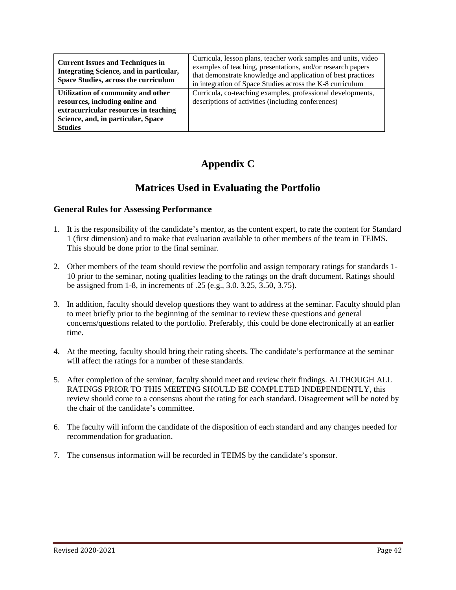| <b>Current Issues and Techniques in</b><br>Integrating Science, and in particular,<br>Space Studies, across the curriculum | Curricula, lesson plans, teacher work samples and units, video<br>examples of teaching, presentations, and/or research papers<br>that demonstrate knowledge and application of best practices<br>in integration of Space Studies across the K-8 curriculum |
|----------------------------------------------------------------------------------------------------------------------------|------------------------------------------------------------------------------------------------------------------------------------------------------------------------------------------------------------------------------------------------------------|
| Utilization of community and other<br>resources, including online and                                                      | Curricula, co-teaching examples, professional developments,<br>descriptions of activities (including conferences)                                                                                                                                          |
| extracurricular resources in teaching                                                                                      |                                                                                                                                                                                                                                                            |
| Science, and, in particular, Space                                                                                         |                                                                                                                                                                                                                                                            |
| <b>Studies</b>                                                                                                             |                                                                                                                                                                                                                                                            |

# **Appendix C**

# **Matrices Used in Evaluating the Portfolio**

#### **General Rules for Assessing Performance**

- 1. It is the responsibility of the candidate's mentor, as the content expert, to rate the content for Standard 1 (first dimension) and to make that evaluation available to other members of the team in TEIMS. This should be done prior to the final seminar.
- 2. Other members of the team should review the portfolio and assign temporary ratings for standards 1- 10 prior to the seminar, noting qualities leading to the ratings on the draft document. Ratings should be assigned from 1-8, in increments of .25 (e.g., 3.0. 3.25, 3.50, 3.75).
- 3. In addition, faculty should develop questions they want to address at the seminar. Faculty should plan to meet briefly prior to the beginning of the seminar to review these questions and general concerns/questions related to the portfolio. Preferably, this could be done electronically at an earlier time.
- 4. At the meeting, faculty should bring their rating sheets. The candidate's performance at the seminar will affect the ratings for a number of these standards.
- 5. After completion of the seminar, faculty should meet and review their findings. ALTHOUGH ALL RATINGS PRIOR TO THIS MEETING SHOULD BE COMPLETED INDEPENDENTLY, this review should come to a consensus about the rating for each standard. Disagreement will be noted by the chair of the candidate's committee.
- 6. The faculty will inform the candidate of the disposition of each standard and any changes needed for recommendation for graduation.
- 7. The consensus information will be recorded in TEIMS by the candidate's sponsor.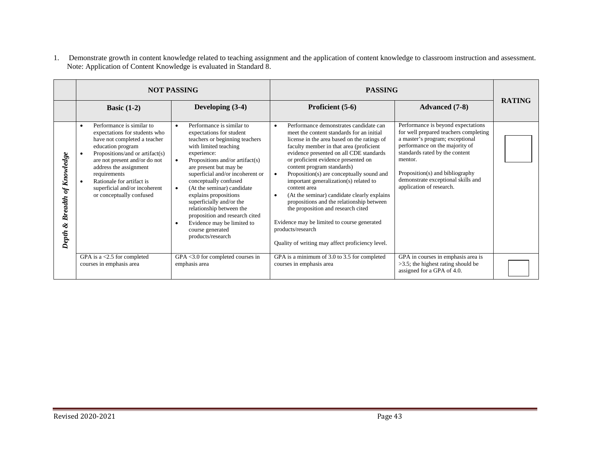1. Demonstrate growth in content knowledge related to teaching assignment and the application of content knowledge to classroom instruction and assessment. Note: Application of Content Knowledge is evaluated in Standard 8.

|                                                  | <b>NOT PASSING</b>                                                                                                                                                                                                                                                                                                                   |                                                                                                                                                                                                                                                                                                                                                                                                                                                                                                                                       | <b>PASSING</b>                                                                                                                                                                                                                                                                                                                                                                                                                                                                                                                                                                                                                                                                                        |                                                                                                                                                                                                                                                                                                    |               |
|--------------------------------------------------|--------------------------------------------------------------------------------------------------------------------------------------------------------------------------------------------------------------------------------------------------------------------------------------------------------------------------------------|---------------------------------------------------------------------------------------------------------------------------------------------------------------------------------------------------------------------------------------------------------------------------------------------------------------------------------------------------------------------------------------------------------------------------------------------------------------------------------------------------------------------------------------|-------------------------------------------------------------------------------------------------------------------------------------------------------------------------------------------------------------------------------------------------------------------------------------------------------------------------------------------------------------------------------------------------------------------------------------------------------------------------------------------------------------------------------------------------------------------------------------------------------------------------------------------------------------------------------------------------------|----------------------------------------------------------------------------------------------------------------------------------------------------------------------------------------------------------------------------------------------------------------------------------------------------|---------------|
|                                                  | Basic $(1-2)$                                                                                                                                                                                                                                                                                                                        | Developing $(3-4)$                                                                                                                                                                                                                                                                                                                                                                                                                                                                                                                    | Proficient (5-6)                                                                                                                                                                                                                                                                                                                                                                                                                                                                                                                                                                                                                                                                                      | <b>Advanced</b> (7-8)                                                                                                                                                                                                                                                                              | <b>RATING</b> |
| Knowledge<br>of.<br><b>Breadth</b><br>ಳ<br>Depth | Performance is similar to<br>$\bullet$<br>expectations for students who<br>have not completed a teacher<br>education program<br>Propositions/and or artifact(s)<br>are not present and/or do not<br>address the assignment<br>requirements<br>Rationale for artifact is<br>superficial and/or incoherent<br>or conceptually confused | Performance is similar to<br>$\bullet$<br>expectations for student<br>teachers or beginning teachers<br>with limited teaching<br>experience:<br>Propositions and/or artifact(s)<br>$\bullet$<br>are present but may be<br>superficial and/or incoherent or<br>conceptually confused<br>(At the seminar) candidate<br>$\bullet$<br>explains propositions<br>superficially and/or the<br>relationship between the<br>proposition and research cited<br>Evidence may be limited to<br>$\bullet$<br>course generated<br>products/research | Performance demonstrates candidate can<br>$\bullet$<br>meet the content standards for an initial<br>license in the area based on the ratings of<br>faculty member in that area (proficient<br>evidence presented on all CDE standards<br>or proficient evidence presented on<br>content program standards)<br>Proposition(s) are conceptually sound and<br>$\bullet$<br>important generalization(s) related to<br>content area<br>(At the seminar) candidate clearly explains<br>$\bullet$<br>propositions and the relationship between<br>the proposition and research cited<br>Evidence may be limited to course generated<br>products/research<br>Quality of writing may affect proficiency level. | Performance is beyond expectations<br>for well prepared teachers completing<br>a master's program; exceptional<br>performance on the majority of<br>standards rated by the content<br>mentor.<br>Proposition(s) and bibliography<br>demonstrate exceptional skills and<br>application of research. |               |
|                                                  | GPA is a $<$ 2.5 for completed<br>courses in emphasis area                                                                                                                                                                                                                                                                           | $GPA < 3.0$ for completed courses in<br>emphasis area                                                                                                                                                                                                                                                                                                                                                                                                                                                                                 | GPA is a minimum of 3.0 to 3.5 for completed<br>courses in emphasis area                                                                                                                                                                                                                                                                                                                                                                                                                                                                                                                                                                                                                              | GPA in courses in emphasis area is<br>$>3.5$ ; the highest rating should be<br>assigned for a GPA of 4.0.                                                                                                                                                                                          |               |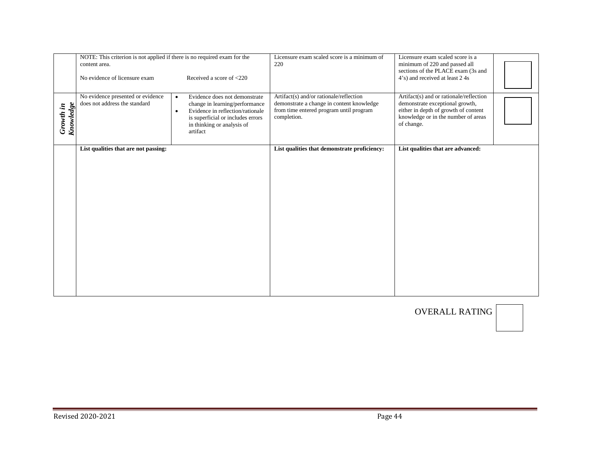|                               | NOTE: This criterion is not applied if there is no required exam for the<br>content area.<br>No evidence of licensure exam | Received a score of <220                                                                                                                                                                                     | Licensure exam scaled score is a minimum of<br>220                                                                                             | Licensure exam scaled score is a<br>minimum of 220 and passed all<br>sections of the PLACE exam (3s and<br>4's) and received at least 2 4s                              |  |
|-------------------------------|----------------------------------------------------------------------------------------------------------------------------|--------------------------------------------------------------------------------------------------------------------------------------------------------------------------------------------------------------|------------------------------------------------------------------------------------------------------------------------------------------------|-------------------------------------------------------------------------------------------------------------------------------------------------------------------------|--|
| Knowledge<br><b>Growth</b> in | No evidence presented or evidence<br>does not address the standard                                                         | Evidence does not demonstrate<br>$\bullet$<br>change in learning/performance<br>Evidence in reflection/rationale<br>$\bullet$<br>is superficial or includes errors<br>in thinking or analysis of<br>artifact | Artifact(s) and/or rationale/reflection<br>demonstrate a change in content knowledge<br>from time entered program until program<br>completion. | Artifact(s) and or rationale/reflection<br>demonstrate exceptional growth,<br>either in depth of growth of content<br>knowledge or in the number of areas<br>of change. |  |
|                               | List qualities that are not passing:                                                                                       |                                                                                                                                                                                                              | List qualities that demonstrate proficiency:                                                                                                   | List qualities that are advanced:                                                                                                                                       |  |

OVERALL RATING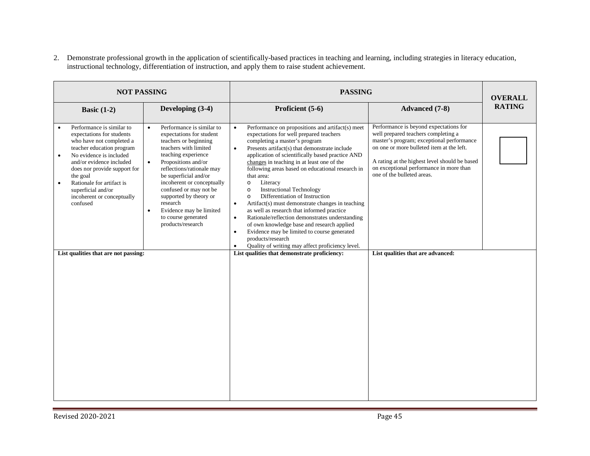2. Demonstrate professional growth in the application of scientifically-based practices in teaching and learning, including strategies in literacy education, instructional technology, differentiation of instruction, and apply them to raise student achievement.

| <b>NOT PASSING</b>                                                                                                                                                                                                                                                                                                                                                                |                                                                                                                                                                                                                                                                                                                                                                                                                         | <b>PASSING</b>                                                                                                                                                                                                                                                                                                                                                                                                                                                                                                                                                                                                                                                                                                                                                                                                                                                                                                               | <b>OVERALL</b>                                                                                                                                                                                                                                                                                                                         |               |
|-----------------------------------------------------------------------------------------------------------------------------------------------------------------------------------------------------------------------------------------------------------------------------------------------------------------------------------------------------------------------------------|-------------------------------------------------------------------------------------------------------------------------------------------------------------------------------------------------------------------------------------------------------------------------------------------------------------------------------------------------------------------------------------------------------------------------|------------------------------------------------------------------------------------------------------------------------------------------------------------------------------------------------------------------------------------------------------------------------------------------------------------------------------------------------------------------------------------------------------------------------------------------------------------------------------------------------------------------------------------------------------------------------------------------------------------------------------------------------------------------------------------------------------------------------------------------------------------------------------------------------------------------------------------------------------------------------------------------------------------------------------|----------------------------------------------------------------------------------------------------------------------------------------------------------------------------------------------------------------------------------------------------------------------------------------------------------------------------------------|---------------|
| Basic $(1-2)$                                                                                                                                                                                                                                                                                                                                                                     | Developing (3-4)                                                                                                                                                                                                                                                                                                                                                                                                        | Proficient (5-6)                                                                                                                                                                                                                                                                                                                                                                                                                                                                                                                                                                                                                                                                                                                                                                                                                                                                                                             | <b>Advanced</b> (7-8)                                                                                                                                                                                                                                                                                                                  | <b>RATING</b> |
| Performance is similar to<br>expectations for students<br>who have not completed a<br>teacher education program<br>No evidence is included<br>$\bullet$<br>and/or evidence included<br>does nor provide support for<br>the goal<br>Rationale for artifact is<br>$\bullet$<br>superficial and/or<br>incoherent or conceptually<br>confused<br>List qualities that are not passing: | Performance is similar to<br>$\bullet$<br>expectations for student<br>teachers or beginning<br>teachers with limited<br>teaching experience<br>Propositions and/or<br>$\bullet$<br>reflections/rationale may<br>be superficial and/or<br>incoherent or conceptually<br>confused or may not be<br>supported by theory or<br>research<br>Evidence may be limited<br>$\bullet$<br>to course generated<br>products/research | Performance on propositions and artifact(s) meet<br>$\bullet$<br>expectations for well prepared teachers<br>completing a master's program<br>Presents artifact(s) that demonstrate include<br>$\bullet$<br>application of scientifically based practice AND<br>changes in teaching in at least one of the<br>following areas based on educational research in<br>that area:<br>Literacy<br>$\circ$<br><b>Instructional Technology</b><br>$\circ$<br>Differentiation of Instruction<br>$\circ$<br>Artifact(s) must demonstrate changes in teaching<br>$\bullet$<br>as well as research that informed practice<br>Rationale/reflection demonstrates understanding<br>$\bullet$<br>of own knowledge base and research applied<br>Evidence may be limited to course generated<br>$\bullet$<br>products/research<br>Quality of writing may affect proficiency level.<br>$\bullet$<br>List qualities that demonstrate proficiency: | Performance is beyond expectations for<br>well prepared teachers completing a<br>master's program; exceptional performance<br>on one or more bulleted item at the left.<br>A rating at the highest level should be based<br>on exceptional performance in more than<br>one of the bulleted areas.<br>List qualities that are advanced: |               |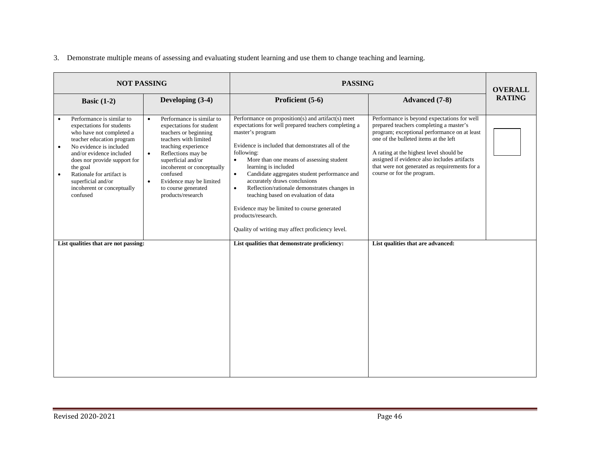#### 3. Demonstrate multiple means of assessing and evaluating student learning and use them to change teaching and learning.

| <b>NOT PASSING</b>                                                                                                                                                                                                                                                                                                                        |                                                                                                                                                                                                                                                                                                                                    | <b>PASSING</b>                                                                                                                                                                                                                                                                                                                                                                                                                                                                                                                                                                                                | <b>OVERALL</b>                                                                                                                                                                                                                                                                                                                                            |               |
|-------------------------------------------------------------------------------------------------------------------------------------------------------------------------------------------------------------------------------------------------------------------------------------------------------------------------------------------|------------------------------------------------------------------------------------------------------------------------------------------------------------------------------------------------------------------------------------------------------------------------------------------------------------------------------------|---------------------------------------------------------------------------------------------------------------------------------------------------------------------------------------------------------------------------------------------------------------------------------------------------------------------------------------------------------------------------------------------------------------------------------------------------------------------------------------------------------------------------------------------------------------------------------------------------------------|-----------------------------------------------------------------------------------------------------------------------------------------------------------------------------------------------------------------------------------------------------------------------------------------------------------------------------------------------------------|---------------|
| Basic $(1-2)$                                                                                                                                                                                                                                                                                                                             | Developing (3-4)                                                                                                                                                                                                                                                                                                                   | Proficient (5-6)                                                                                                                                                                                                                                                                                                                                                                                                                                                                                                                                                                                              | <b>Advanced</b> (7-8)                                                                                                                                                                                                                                                                                                                                     | <b>RATING</b> |
| Performance is similar to<br>expectations for students<br>who have not completed a<br>teacher education program<br>No evidence is included<br>$\bullet$<br>and/or evidence included<br>does nor provide support for<br>the goal<br>Rationale for artifact is<br>$\bullet$<br>superficial and/or<br>incoherent or conceptually<br>confused | Performance is similar to<br>$\bullet$<br>expectations for student<br>teachers or beginning<br>teachers with limited<br>teaching experience<br>Reflections may be<br>$\bullet$<br>superficial and/or<br>incoherent or conceptually<br>confused<br>Evidence may be limited<br>$\bullet$<br>to course generated<br>products/research | Performance on proposition(s) and artifact(s) meet<br>expectations for well prepared teachers completing a<br>master's program<br>Evidence is included that demonstrates all of the<br>following:<br>More than one means of assessing student<br>$\bullet$<br>learning is included<br>Candidate aggregates student performance and<br>$\bullet$<br>accurately draws conclusions<br>Reflection/rationale demonstrates changes in<br>$\bullet$<br>teaching based on evaluation of data<br>Evidence may be limited to course generated<br>products/research.<br>Quality of writing may affect proficiency level. | Performance is beyond expectations for well<br>prepared teachers completing a master's<br>program; exceptional performance on at least<br>one of the bulleted items at the left<br>A rating at the highest level should be<br>assigned if evidence also includes artifacts<br>that were not generated as requirements for a<br>course or for the program. |               |
| List qualities that are not passing:                                                                                                                                                                                                                                                                                                      |                                                                                                                                                                                                                                                                                                                                    | List qualities that demonstrate proficiency:                                                                                                                                                                                                                                                                                                                                                                                                                                                                                                                                                                  | List qualities that are advanced:                                                                                                                                                                                                                                                                                                                         |               |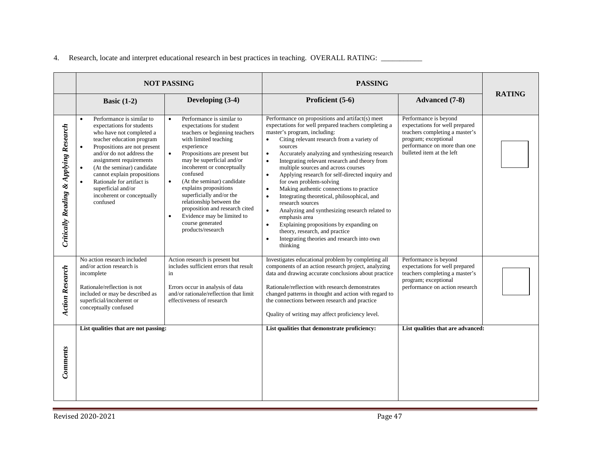|  |  | 4. Research, locate and interpret educational research in best practices in teaching. OVERALL RATING: |  |
|--|--|-------------------------------------------------------------------------------------------------------|--|
|  |  |                                                                                                       |  |

|                                                   | <b>NOT PASSING</b>                                                                                                                                                                                                                                                                                                                                                             |                                                                                                                                                                                                                                                                                                                                                                                                                                                                                                                   | <b>PASSING</b>                                                                                                                                                                                                                                                                                                                                                                                                                                                                                                                                                                                                                                                                                                                                                                                                                                |                                                                                                                                                                                |               |
|---------------------------------------------------|--------------------------------------------------------------------------------------------------------------------------------------------------------------------------------------------------------------------------------------------------------------------------------------------------------------------------------------------------------------------------------|-------------------------------------------------------------------------------------------------------------------------------------------------------------------------------------------------------------------------------------------------------------------------------------------------------------------------------------------------------------------------------------------------------------------------------------------------------------------------------------------------------------------|-----------------------------------------------------------------------------------------------------------------------------------------------------------------------------------------------------------------------------------------------------------------------------------------------------------------------------------------------------------------------------------------------------------------------------------------------------------------------------------------------------------------------------------------------------------------------------------------------------------------------------------------------------------------------------------------------------------------------------------------------------------------------------------------------------------------------------------------------|--------------------------------------------------------------------------------------------------------------------------------------------------------------------------------|---------------|
|                                                   | Basic $(1-2)$                                                                                                                                                                                                                                                                                                                                                                  | Developing (3-4)                                                                                                                                                                                                                                                                                                                                                                                                                                                                                                  | Proficient (5-6)                                                                                                                                                                                                                                                                                                                                                                                                                                                                                                                                                                                                                                                                                                                                                                                                                              | <b>Advanced</b> (7-8)                                                                                                                                                          | <b>RATING</b> |
| <b>Critically Reading &amp; Applying Research</b> | Performance is similar to<br>$\bullet$<br>expectations for students<br>who have not completed a<br>teacher education program<br>Propositions are not present<br>and/or do not address the<br>assignment requirements<br>(At the seminar) candidate<br>cannot explain propositions<br>Rationale for artifact is<br>superficial and/or<br>incoherent or conceptually<br>confused | Performance is similar to<br>$\bullet$<br>expectations for student<br>teachers or beginning teachers<br>with limited teaching<br>experience<br>Propositions are present but<br>$\bullet$<br>may be superficial and/or<br>incoherent or conceptually<br>confused<br>(At the seminar) candidate<br>$\bullet$<br>explains propositions<br>superficially and/or the<br>relationship between the<br>proposition and research cited<br>Evidence may be limited to<br>$\bullet$<br>course generated<br>products/research | Performance on propositions and artifact(s) meet<br>expectations for well prepared teachers completing a<br>master's program, including:<br>Citing relevant research from a variety of<br>$\bullet$<br>sources<br>Accurately analyzing and synthesizing research<br>$\bullet$<br>Integrating relevant research and theory from<br>multiple sources and across courses<br>Applying research for self-directed inquiry and<br>$\bullet$<br>for own problem-solving<br>Making authentic connections to practice<br>$\bullet$<br>Integrating theoretical, philosophical, and<br>$\bullet$<br>research sources<br>Analyzing and synthesizing research related to<br>$\bullet$<br>emphasis area<br>Explaining propositions by expanding on<br>$\bullet$<br>theory, research, and practice<br>Integrating theories and research into own<br>thinking | Performance is beyond<br>expectations for well prepared<br>teachers completing a master's<br>program; exceptional<br>performance on more than one<br>bulleted item at the left |               |
| <b>Action Research</b>                            | No action research included<br>and/or action research is<br>incomplete<br>Rationale/reflection is not<br>included or may be described as<br>superficial/incoherent or<br>conceptually confused                                                                                                                                                                                 | Action research is present but<br>includes sufficient errors that result<br>in<br>Errors occur in analysis of data<br>and/or rationale/reflection that limit<br>effectiveness of research                                                                                                                                                                                                                                                                                                                         | Investigates educational problem by completing all<br>components of an action research project, analyzing<br>data and drawing accurate conclusions about practice<br>Rationale/reflection with research demonstrates<br>changed patterns in thought and action with regard to<br>the connections between research and practice<br>Quality of writing may affect proficiency level.                                                                                                                                                                                                                                                                                                                                                                                                                                                            | Performance is beyond<br>expectations for well prepared<br>teachers completing a master's<br>program; exceptional<br>performance on action research                            |               |
| Comments                                          | List qualities that are not passing:                                                                                                                                                                                                                                                                                                                                           |                                                                                                                                                                                                                                                                                                                                                                                                                                                                                                                   | List qualities that demonstrate proficiency:                                                                                                                                                                                                                                                                                                                                                                                                                                                                                                                                                                                                                                                                                                                                                                                                  | List qualities that are advanced:                                                                                                                                              |               |

an<br>Ma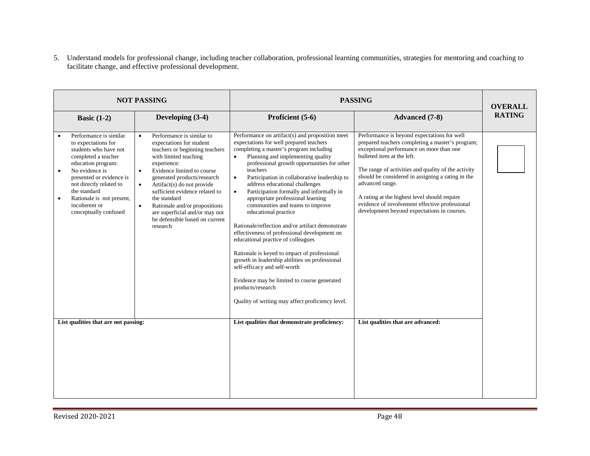5. Understand models for professional change, including teacher collaboration, professional learning communities, strategies for mentoring and coaching to facilitate change, and effective professional development.

| <b>NOT PASSING</b>                                                                                                                                                                                                                                                                  |                                                                                                                                                                                                                                                                                                                                                                                                                                                   |                                                                                                                                                                                                                                                                                                                                                                                                                                                                                                                                                                                                                                                                                                                                                                                                                                                                                                                 | <b>PASSING</b>                                                                                                                                                                                                                                                                                                                                                                                                                                            |               |  |
|-------------------------------------------------------------------------------------------------------------------------------------------------------------------------------------------------------------------------------------------------------------------------------------|---------------------------------------------------------------------------------------------------------------------------------------------------------------------------------------------------------------------------------------------------------------------------------------------------------------------------------------------------------------------------------------------------------------------------------------------------|-----------------------------------------------------------------------------------------------------------------------------------------------------------------------------------------------------------------------------------------------------------------------------------------------------------------------------------------------------------------------------------------------------------------------------------------------------------------------------------------------------------------------------------------------------------------------------------------------------------------------------------------------------------------------------------------------------------------------------------------------------------------------------------------------------------------------------------------------------------------------------------------------------------------|-----------------------------------------------------------------------------------------------------------------------------------------------------------------------------------------------------------------------------------------------------------------------------------------------------------------------------------------------------------------------------------------------------------------------------------------------------------|---------------|--|
| Basic $(1-2)$                                                                                                                                                                                                                                                                       | Developing (3-4)                                                                                                                                                                                                                                                                                                                                                                                                                                  | Proficient (5-6)                                                                                                                                                                                                                                                                                                                                                                                                                                                                                                                                                                                                                                                                                                                                                                                                                                                                                                | <b>Advanced</b> (7-8)                                                                                                                                                                                                                                                                                                                                                                                                                                     | <b>RATING</b> |  |
| Performance is similar<br>to expectations for<br>students who have not<br>completed a teacher<br>education program:<br>No evidence is<br>presented or evidence is<br>not directly related to<br>the standard<br>Rationale is not present,<br>incoherent or<br>conceptually confused | Performance is similar to<br>$\bullet$<br>expectations for student<br>teachers or beginning teachers<br>with limited teaching<br>experience:<br>Evidence limited to course<br>$\bullet$<br>generated products/research<br>Artifact(s) do not provide<br>$\bullet$<br>sufficient evidence related to<br>the standard<br>Rationale and/or propositions<br>$\bullet$<br>are superficial and/or may not<br>be defensible based on current<br>research | Performance on artifact(s) and proposition meet<br>expectations for well prepared teachers<br>completing a master's program including<br>Planning and implementing quality<br>$\bullet$<br>professional growth opportunities for other<br>teachers<br>Participation in collaborative leadership to<br>$\bullet$<br>address educational challenges<br>Participation formally and informally in<br>$\bullet$<br>appropriate professional learning<br>communities and teams to improve<br>educational practice<br>Rationale/reflection and/or artifact demonstrate<br>effectiveness of professional development on<br>educational practice of colleagues<br>Rationale is keyed to impact of professional<br>growth in leadership abilities on professional<br>self-efficacy and self-worth<br>Evidence may be limited to course generated<br>products/research<br>Quality of writing may affect proficiency level. | Performance is beyond expectations for well<br>prepared teachers completing a master's program;<br>exceptional performance on more than one<br>bulleted item at the left.<br>The range of activities and quality of the activity<br>should be considered in assigning a rating in the<br>advanced range.<br>A rating at the highest level should require<br>evidence of involvement effective professional<br>development beyond expectations in courses. |               |  |
| List qualities that are not passing:                                                                                                                                                                                                                                                |                                                                                                                                                                                                                                                                                                                                                                                                                                                   | List qualities that demonstrate proficiency:                                                                                                                                                                                                                                                                                                                                                                                                                                                                                                                                                                                                                                                                                                                                                                                                                                                                    | List qualities that are advanced:                                                                                                                                                                                                                                                                                                                                                                                                                         |               |  |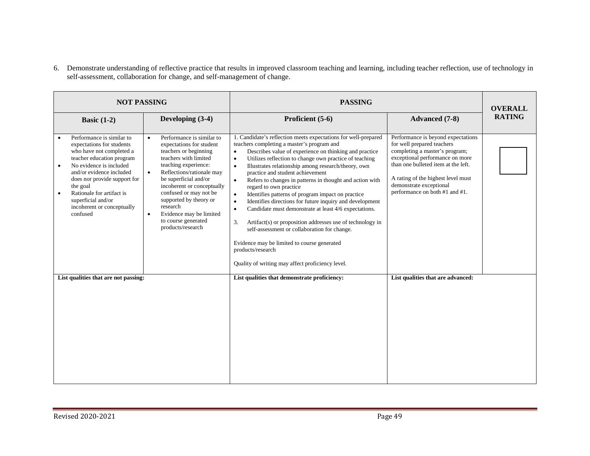6. Demonstrate understanding of reflective practice that results in improved classroom teaching and learning, including teacher reflection, use of technology in self-assessment, collaboration for change, and self-management of change.

| <b>NOT PASSING</b>                                                                                                                                                                                                                                                                                                           |                                                                                                                                                                                                                                                                                                                                                                                                   | <b>PASSING</b>                                                                                                                                                                                                                                                                                                                                                                                                                                                                                                                                                                                                                                                                                                                                                                                                                                                                                                                    |                                                                                                                                                                                                                                                                                 | <b>OVERALL</b> |
|------------------------------------------------------------------------------------------------------------------------------------------------------------------------------------------------------------------------------------------------------------------------------------------------------------------------------|---------------------------------------------------------------------------------------------------------------------------------------------------------------------------------------------------------------------------------------------------------------------------------------------------------------------------------------------------------------------------------------------------|-----------------------------------------------------------------------------------------------------------------------------------------------------------------------------------------------------------------------------------------------------------------------------------------------------------------------------------------------------------------------------------------------------------------------------------------------------------------------------------------------------------------------------------------------------------------------------------------------------------------------------------------------------------------------------------------------------------------------------------------------------------------------------------------------------------------------------------------------------------------------------------------------------------------------------------|---------------------------------------------------------------------------------------------------------------------------------------------------------------------------------------------------------------------------------------------------------------------------------|----------------|
| Basic $(1-2)$                                                                                                                                                                                                                                                                                                                | Developing (3-4)                                                                                                                                                                                                                                                                                                                                                                                  | Proficient (5-6)                                                                                                                                                                                                                                                                                                                                                                                                                                                                                                                                                                                                                                                                                                                                                                                                                                                                                                                  | <b>Advanced</b> (7-8)                                                                                                                                                                                                                                                           | <b>RATING</b>  |
| Performance is similar to<br>expectations for students<br>who have not completed a<br>teacher education program<br>No evidence is included<br>and/or evidence included<br>does nor provide support for<br>the goal<br>Rationale for artifact is<br>$\bullet$<br>superficial and/or<br>incoherent or conceptually<br>confused | Performance is similar to<br>$\bullet$<br>expectations for student<br>teachers or beginning<br>teachers with limited<br>teaching experience:<br>Reflections/rationale may<br>$\bullet$<br>be superficial and/or<br>incoherent or conceptually<br>confused or may not be<br>supported by theory or<br>research<br>Evidence may be limited<br>$\bullet$<br>to course generated<br>products/research | 1. Candidate's reflection meets expectations for well-prepared<br>teachers completing a master's program and<br>Describes value of experience on thinking and practice<br>$\bullet$<br>Utilizes reflection to change own practice of teaching<br>$\bullet$<br>Illustrates relationship among research/theory, own<br>$\bullet$<br>practice and student achievement<br>Refers to changes in patterns in thought and action with<br>$\bullet$<br>regard to own practice<br>Identifies patterns of program impact on practice<br>$\bullet$<br>Identifies directions for future inquiry and development<br>$\bullet$<br>Candidate must demonstrate at least 4/6 expectations.<br>$\bullet$<br>3.<br>Artifact(s) or proposition addresses use of technology in<br>self-assessment or collaboration for change.<br>Evidence may be limited to course generated<br>products/research<br>Quality of writing may affect proficiency level. | Performance is beyond expectations<br>for well prepared teachers<br>completing a master's program;<br>exceptional performance on more<br>than one bulleted item at the left.<br>A rating of the highest level must<br>demonstrate exceptional<br>performance on both #1 and #1. |                |
| List qualities that are not passing:                                                                                                                                                                                                                                                                                         |                                                                                                                                                                                                                                                                                                                                                                                                   | List qualities that demonstrate proficiency:                                                                                                                                                                                                                                                                                                                                                                                                                                                                                                                                                                                                                                                                                                                                                                                                                                                                                      | List qualities that are advanced:                                                                                                                                                                                                                                               |                |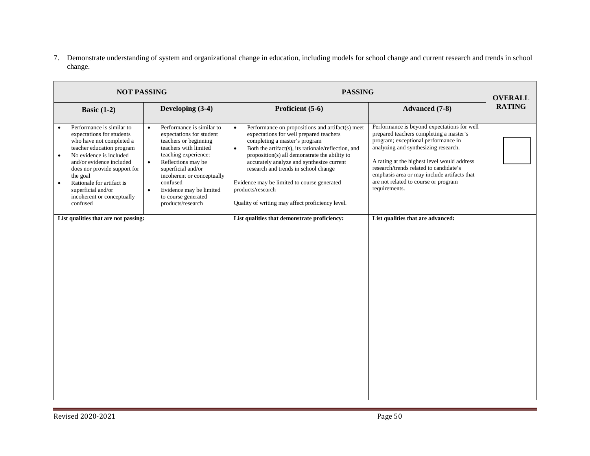7. Demonstrate understanding of system and organizational change in education, including models for school change and current research and trends in school change.

| <b>NOT PASSING</b> |                                                                                                                                                                                                                                                                                                                              |                                                                                                                                                                                                                                                                                                                                     | <b>PASSING</b>                                                                                                                                                                                                                                                                                                                                                                                                                                                              |                                                                                                                                                                                                                                                                                                                                                                        | <b>OVERALL</b> |
|--------------------|------------------------------------------------------------------------------------------------------------------------------------------------------------------------------------------------------------------------------------------------------------------------------------------------------------------------------|-------------------------------------------------------------------------------------------------------------------------------------------------------------------------------------------------------------------------------------------------------------------------------------------------------------------------------------|-----------------------------------------------------------------------------------------------------------------------------------------------------------------------------------------------------------------------------------------------------------------------------------------------------------------------------------------------------------------------------------------------------------------------------------------------------------------------------|------------------------------------------------------------------------------------------------------------------------------------------------------------------------------------------------------------------------------------------------------------------------------------------------------------------------------------------------------------------------|----------------|
|                    | Basic $(1-2)$                                                                                                                                                                                                                                                                                                                | Developing (3-4)                                                                                                                                                                                                                                                                                                                    | Proficient (5-6)                                                                                                                                                                                                                                                                                                                                                                                                                                                            | <b>Advanced</b> (7-8)                                                                                                                                                                                                                                                                                                                                                  | <b>RATING</b>  |
|                    | Performance is similar to<br>expectations for students<br>who have not completed a<br>teacher education program<br>No evidence is included<br>$\bullet$<br>and/or evidence included<br>does nor provide support for<br>the goal<br>Rationale for artifact is<br>superficial and/or<br>incoherent or conceptually<br>confused | Performance is similar to<br>$\bullet$<br>expectations for student<br>teachers or beginning<br>teachers with limited<br>teaching experience:<br>Reflections may be<br>$\bullet$<br>superficial and/or<br>incoherent or conceptually<br>confused<br>Evidence may be limited<br>$\bullet$<br>to course generated<br>products/research | Performance on propositions and artifact(s) meet<br>$\bullet$<br>expectations for well prepared teachers<br>completing a master's program<br>Both the artifact(s), its rationale/reflection, and<br>$\bullet$<br>proposition(s) all demonstrate the ability to<br>accurately analyze and synthesize current<br>research and trends in school change<br>Evidence may be limited to course generated<br>products/research<br>Quality of writing may affect proficiency level. | Performance is beyond expectations for well<br>prepared teachers completing a master's<br>program; exceptional performance in<br>analyzing and synthesizing research.<br>A rating at the highest level would address<br>research/trends related to candidate's<br>emphasis area or may include artifacts that<br>are not related to course or program<br>requirements. |                |
|                    | List qualities that are not passing:                                                                                                                                                                                                                                                                                         |                                                                                                                                                                                                                                                                                                                                     | List qualities that demonstrate proficiency:                                                                                                                                                                                                                                                                                                                                                                                                                                | List qualities that are advanced:                                                                                                                                                                                                                                                                                                                                      |                |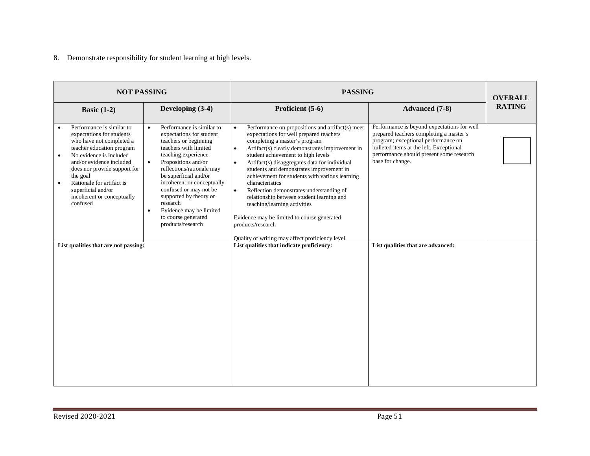#### 8. Demonstrate responsibility for student learning at high levels.

| <b>NOT PASSING</b>                                                                                                                                                                                                                                                                                                                        |                                                                                                                                                                                                                                                                                                                                                                                                                         | <b>PASSING</b>                                                                                                                                                                                                                                                                                                                                                                                                                                                                                                                                                                                                                                                                               | <b>OVERALL</b>                                                                                                                                                                                                                           |               |
|-------------------------------------------------------------------------------------------------------------------------------------------------------------------------------------------------------------------------------------------------------------------------------------------------------------------------------------------|-------------------------------------------------------------------------------------------------------------------------------------------------------------------------------------------------------------------------------------------------------------------------------------------------------------------------------------------------------------------------------------------------------------------------|----------------------------------------------------------------------------------------------------------------------------------------------------------------------------------------------------------------------------------------------------------------------------------------------------------------------------------------------------------------------------------------------------------------------------------------------------------------------------------------------------------------------------------------------------------------------------------------------------------------------------------------------------------------------------------------------|------------------------------------------------------------------------------------------------------------------------------------------------------------------------------------------------------------------------------------------|---------------|
| Basic $(1-2)$                                                                                                                                                                                                                                                                                                                             | Developing (3-4)                                                                                                                                                                                                                                                                                                                                                                                                        | Proficient (5-6)                                                                                                                                                                                                                                                                                                                                                                                                                                                                                                                                                                                                                                                                             | <b>Advanced</b> (7-8)                                                                                                                                                                                                                    | <b>RATING</b> |
| Performance is similar to<br>expectations for students<br>who have not completed a<br>teacher education program<br>No evidence is included<br>$\bullet$<br>and/or evidence included<br>does nor provide support for<br>the goal<br>Rationale for artifact is<br>$\bullet$<br>superficial and/or<br>incoherent or conceptually<br>confused | Performance is similar to<br>$\bullet$<br>expectations for student<br>teachers or beginning<br>teachers with limited<br>teaching experience<br>Propositions and/or<br>$\bullet$<br>reflections/rationale may<br>be superficial and/or<br>incoherent or conceptually<br>confused or may not be<br>supported by theory or<br>research<br>Evidence may be limited<br>$\bullet$<br>to course generated<br>products/research | Performance on propositions and artifact(s) meet<br>$\bullet$<br>expectations for well prepared teachers<br>completing a master's program<br>Artifact(s) clearly demonstrates improvement in<br>$\bullet$<br>student achievement to high levels<br>Artifact(s) disaggregates data for individual<br>$\bullet$<br>students and demonstrates improvement in<br>achievement for students with various learning<br>characteristics<br>Reflection demonstrates understanding of<br>$\bullet$<br>relationship between student learning and<br>teaching/learning activities<br>Evidence may be limited to course generated<br>products/research<br>Quality of writing may affect proficiency level. | Performance is beyond expectations for well<br>prepared teachers completing a master's<br>program; exceptional performance on<br>bulleted items at the left. Exceptional<br>performance should present some research<br>base for change. |               |
| List qualities that are not passing:                                                                                                                                                                                                                                                                                                      |                                                                                                                                                                                                                                                                                                                                                                                                                         | List qualities that indicate proficiency:                                                                                                                                                                                                                                                                                                                                                                                                                                                                                                                                                                                                                                                    | List qualities that are advanced:                                                                                                                                                                                                        |               |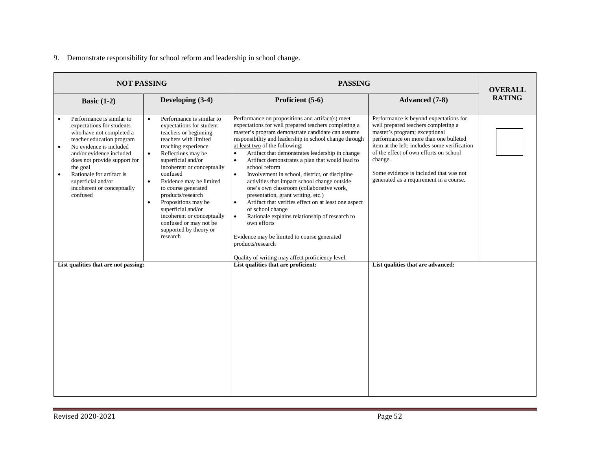#### 9. Demonstrate responsibility for school reform and leadership in school change.

| <b>NOT PASSING</b>                                                                                                                                                                                                                                                                                                                        |                                                                                                                                                                                                                                                                                                                                                                                                                                                                                            |                                                                                                                                                                                                                                                                                                                                                                                                                                                                                                                                                                                                                                                                                                                                                                                                                                                                                                            | <b>PASSING</b>                                                                                                                                                                                                                                                                                                                                    |               |  |  |  |
|-------------------------------------------------------------------------------------------------------------------------------------------------------------------------------------------------------------------------------------------------------------------------------------------------------------------------------------------|--------------------------------------------------------------------------------------------------------------------------------------------------------------------------------------------------------------------------------------------------------------------------------------------------------------------------------------------------------------------------------------------------------------------------------------------------------------------------------------------|------------------------------------------------------------------------------------------------------------------------------------------------------------------------------------------------------------------------------------------------------------------------------------------------------------------------------------------------------------------------------------------------------------------------------------------------------------------------------------------------------------------------------------------------------------------------------------------------------------------------------------------------------------------------------------------------------------------------------------------------------------------------------------------------------------------------------------------------------------------------------------------------------------|---------------------------------------------------------------------------------------------------------------------------------------------------------------------------------------------------------------------------------------------------------------------------------------------------------------------------------------------------|---------------|--|--|--|
| Basic $(1-2)$                                                                                                                                                                                                                                                                                                                             | Developing (3-4)                                                                                                                                                                                                                                                                                                                                                                                                                                                                           | Proficient (5-6)                                                                                                                                                                                                                                                                                                                                                                                                                                                                                                                                                                                                                                                                                                                                                                                                                                                                                           | <b>Advanced</b> (7-8)                                                                                                                                                                                                                                                                                                                             | <b>RATING</b> |  |  |  |
| Performance is similar to<br>$\bullet$<br>expectations for students<br>who have not completed a<br>teacher education program<br>No evidence is included<br>and/or evidence included<br>does not provide support for<br>the goal<br>Rationale for artifact is<br>$\bullet$<br>superficial and/or<br>incoherent or conceptually<br>confused | Performance is similar to<br>$\bullet$<br>expectations for student<br>teachers or beginning<br>teachers with limited<br>teaching experience<br>Reflections may be<br>$\bullet$<br>superficial and/or<br>incoherent or conceptually<br>confused<br>Evidence may be limited<br>$\bullet$<br>to course generated<br>products/research<br>Propositions may be<br>$\bullet$<br>superficial and/or<br>incoherent or conceptually<br>confused or may not be<br>supported by theory or<br>research | Performance on propositions and artifact(s) meet<br>expectations for well prepared teachers completing a<br>master's program demonstrate candidate can assume<br>responsibility and leadership in school change through<br>at least two of the following:<br>Artifact that demonstrates leadership in change<br>$\bullet$<br>Artifact demonstrates a plan that would lead to<br>$\bullet$<br>school reform<br>$\bullet$<br>Involvement in school, district, or discipline<br>activities that impact school change outside<br>one's own classroom (collaborative work,<br>presentation, grant writing, etc.)<br>Artifact that verifies effect on at least one aspect<br>$\bullet$<br>of school change<br>Rationale explains relationship of research to<br>$\bullet$<br>own efforts<br>Evidence may be limited to course generated<br>products/research<br>Quality of writing may affect proficiency level. | Performance is beyond expectations for<br>well prepared teachers completing a<br>master's program; exceptional<br>performance on more than one bulleted<br>item at the left: includes some verification<br>of the effect of own efforts on school<br>change.<br>Some evidence is included that was not<br>generated as a requirement in a course. |               |  |  |  |
| List qualities that are not passing:                                                                                                                                                                                                                                                                                                      |                                                                                                                                                                                                                                                                                                                                                                                                                                                                                            | List qualities that are proficient:                                                                                                                                                                                                                                                                                                                                                                                                                                                                                                                                                                                                                                                                                                                                                                                                                                                                        | List qualities that are advanced:                                                                                                                                                                                                                                                                                                                 |               |  |  |  |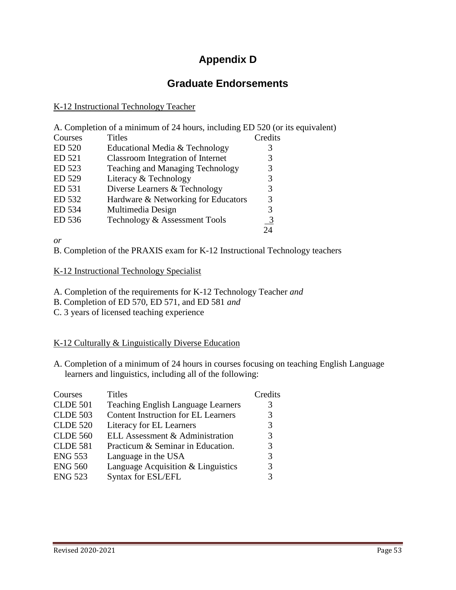# **Appendix D**

# **Graduate Endorsements**

#### K-12 Instructional Technology Teacher

A. Completion of a minimum of 24 hours, including ED 520 (or its equivalent)

| Courses | <b>Titles</b>                           | Credits        |
|---------|-----------------------------------------|----------------|
| ED 520  | Educational Media & Technology          | 3              |
| ED 521  | Classroom Integration of Internet       | 3              |
| ED 523  | <b>Teaching and Managing Technology</b> | 3              |
| ED 529  | Literacy & Technology                   | 3              |
| ED 531  | Diverse Learners & Technology           | 3              |
| ED 532  | Hardware & Networking for Educators     | 3              |
| ED 534  | Multimedia Design                       | 3              |
| ED 536  | Technology & Assessment Tools           | $\overline{3}$ |
|         |                                         | 24             |

*or* 

B. Completion of the PRAXIS exam for K-12 Instructional Technology teachers

#### K-12 Instructional Technology Specialist

A. Completion of the requirements for K-12 Technology Teacher *and*

- B. Completion of ED 570, ED 571, and ED 581 *and*
- C. 3 years of licensed teaching experience

#### K-12 Culturally & Linguistically Diverse Education

A. Completion of a minimum of 24 hours in courses focusing on teaching English Language learners and linguistics, including all of the following:

| Courses         | <b>Titles</b>                              | Credits |
|-----------------|--------------------------------------------|---------|
| <b>CLDE 501</b> | <b>Teaching English Language Learners</b>  |         |
| <b>CLDE 503</b> | <b>Content Instruction for EL Learners</b> |         |
| <b>CLDE 520</b> | Literacy for EL Learners                   |         |
| <b>CLDE 560</b> | ELL Assessment & Administration            |         |
| <b>CLDE 581</b> | Practicum & Seminar in Education.          |         |
| <b>ENG 553</b>  | Language in the USA                        |         |
| <b>ENG 560</b>  | Language Acquisition & Linguistics         |         |
| <b>ENG 523</b>  | Syntax for ESL/EFL                         |         |
|                 |                                            |         |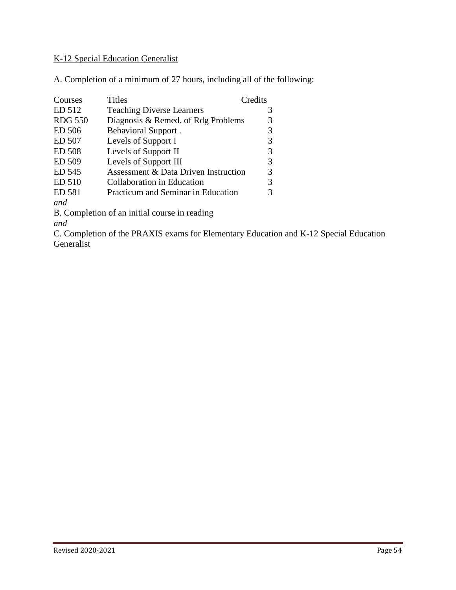### K-12 Special Education Generalist

A. Completion of a minimum of 27 hours, including all of the following:

| Courses        | <b>Titles</b>                        | Credits |
|----------------|--------------------------------------|---------|
| ED 512         | <b>Teaching Diverse Learners</b>     |         |
| <b>RDG 550</b> | Diagnosis & Remed. of Rdg Problems   |         |
| ED 506         | <b>Behavioral Support.</b>           | 3       |
| ED 507         | Levels of Support I                  |         |
| <b>ED 508</b>  | Levels of Support II                 | 3       |
| ED 509         | Levels of Support III                | 3       |
| ED 545         | Assessment & Data Driven Instruction | 3       |
| ED 510         | Collaboration in Education           |         |
| ED 581         | Practicum and Seminar in Education   |         |
| and            |                                      |         |
|                |                                      |         |

B. Completion of an initial course in reading *and* 

C. Completion of the PRAXIS exams for Elementary Education and K-12 Special Education Generalist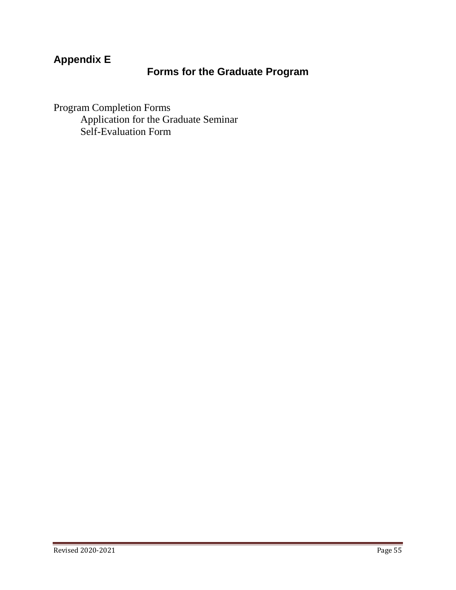# **Appendix E**

# **Forms for the Graduate Program**

Program Completion Forms Application for the Graduate Seminar Self-Evaluation Form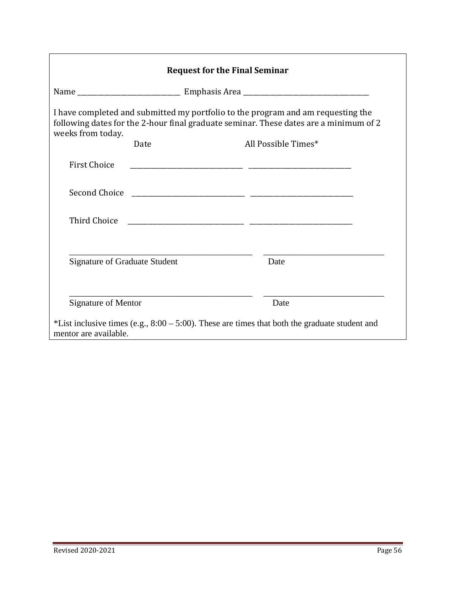|                                      | <b>Request for the Final Seminar</b> |                                                                                                                                                                           |
|--------------------------------------|--------------------------------------|---------------------------------------------------------------------------------------------------------------------------------------------------------------------------|
|                                      |                                      |                                                                                                                                                                           |
| weeks from today.                    |                                      | I have completed and submitted my portfolio to the program and am requesting the<br>following dates for the 2-hour final graduate seminar. These dates are a minimum of 2 |
|                                      | Date                                 | All Possible Times*                                                                                                                                                       |
| <b>First Choice</b>                  |                                      |                                                                                                                                                                           |
|                                      |                                      |                                                                                                                                                                           |
| Third Choice                         |                                      |                                                                                                                                                                           |
| <b>Signature of Graduate Student</b> |                                      | Date                                                                                                                                                                      |
| <b>Signature of Mentor</b>           |                                      | Date                                                                                                                                                                      |
| mentor are available.                |                                      | *List inclusive times (e.g., $8:00 - 5:00$ ). These are times that both the graduate student and                                                                          |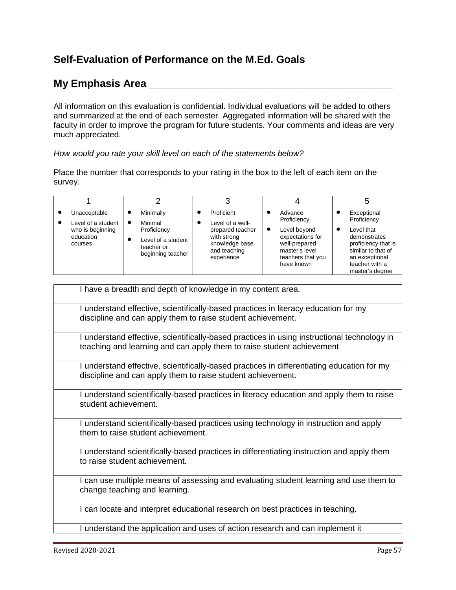# **Self-Evaluation of Performance on the M.Ed. Goals**

# **My Emphasis Area \_\_\_\_\_\_\_\_\_\_\_\_\_\_\_\_\_\_\_\_\_\_\_\_\_\_\_\_\_\_\_\_\_\_\_\_\_\_\_\_\_\_**

All information on this evaluation is confidential. Individual evaluations will be added to others and summarized at the end of each semester. Aggregated information will be shared with the faculty in order to improve the program for future students. Your comments and ideas are very much appreciated.

*How would you rate your skill level on each of the statements below?*

Place the number that corresponds to your rating in the box to the left of each item on the survey.

| Unacceptable<br>Level of a student<br>who is beginning<br>education<br>courses | Minimally<br>Minimal<br>Proficiency<br>teacher or | Level of a student<br>beginning teacher | Proficient<br>Level of a well-<br>prepared teacher<br>with strong<br>knowledge base<br>and teaching<br>experience | ٠ | Advance<br>Proficiency<br>Level beyond<br>expectations for<br>well-prepared<br>master's level<br>teachers that you<br>have known | Exceptional<br>Proficiency<br>Level that<br>demonstrates<br>proficiency that is<br>similar to that of<br>an exceptional<br>teacher with a<br>master's degree |
|--------------------------------------------------------------------------------|---------------------------------------------------|-----------------------------------------|-------------------------------------------------------------------------------------------------------------------|---|----------------------------------------------------------------------------------------------------------------------------------|--------------------------------------------------------------------------------------------------------------------------------------------------------------|

| I have a breadth and depth of knowledge in my content area.                                                                                                          |
|----------------------------------------------------------------------------------------------------------------------------------------------------------------------|
| I understand effective, scientifically-based practices in literacy education for my<br>discipline and can apply them to raise student achievement.                   |
| I understand effective, scientifically-based practices in using instructional technology in<br>teaching and learning and can apply them to raise student achievement |
| I understand effective, scientifically-based practices in differentiating education for my<br>discipline and can apply them to raise student achievement.            |
| I understand scientifically-based practices in literacy education and apply them to raise<br>student achievement.                                                    |
| I understand scientifically-based practices using technology in instruction and apply<br>them to raise student achievement.                                          |
| I understand scientifically-based practices in differentiating instruction and apply them<br>to raise student achievement.                                           |
| I can use multiple means of assessing and evaluating student learning and use them to<br>change teaching and learning.                                               |
| I can locate and interpret educational research on best practices in teaching.                                                                                       |
| I understand the application and uses of action research and can implement it                                                                                        |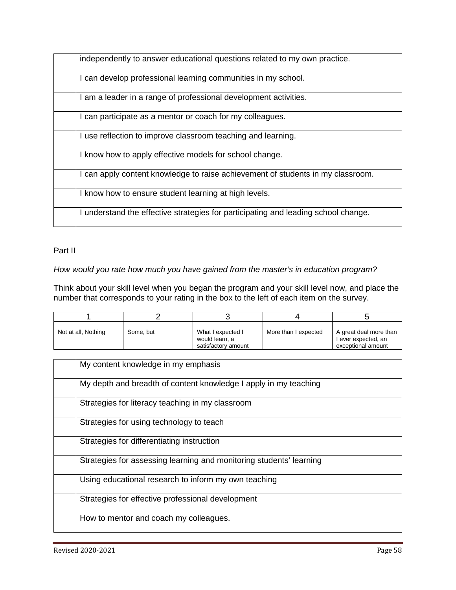| independently to answer educational questions related to my own practice.          |
|------------------------------------------------------------------------------------|
| I can develop professional learning communities in my school.                      |
| I am a leader in a range of professional development activities.                   |
| I can participate as a mentor or coach for my colleagues.                          |
| I use reflection to improve classroom teaching and learning.                       |
| I know how to apply effective models for school change.                            |
| I can apply content knowledge to raise achievement of students in my classroom.    |
| I know how to ensure student learning at high levels.                              |
| I understand the effective strategies for participating and leading school change. |

#### Part II

#### *How would you rate how much you have gained from the master's in education program?*

Think about your skill level when you began the program and your skill level now, and place the number that corresponds to your rating in the box to the left of each item on the survey.

| Not at all, Nothing | Some, but | What I expected I<br>would learn, a<br>satisfactory amount | More than I expected | A great deal more than<br>l ever expected, an<br>exceptional amount |
|---------------------|-----------|------------------------------------------------------------|----------------------|---------------------------------------------------------------------|

| My content knowledge in my emphasis                                 |
|---------------------------------------------------------------------|
| My depth and breadth of content knowledge I apply in my teaching    |
| Strategies for literacy teaching in my classroom                    |
| Strategies for using technology to teach                            |
| Strategies for differentiating instruction                          |
| Strategies for assessing learning and monitoring students' learning |
| Using educational research to inform my own teaching                |
| Strategies for effective professional development                   |
| How to mentor and coach my colleagues.                              |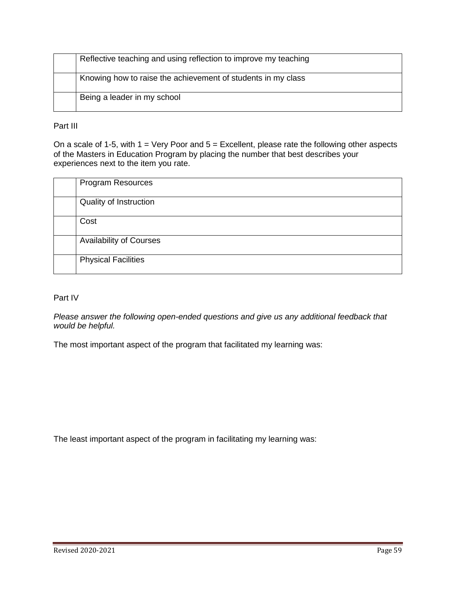| Reflective teaching and using reflection to improve my teaching |
|-----------------------------------------------------------------|
| Knowing how to raise the achievement of students in my class    |
| Being a leader in my school                                     |

#### Part III

On a scale of 1-5, with  $1 = \text{Very Poor and } 5 = \text{Excellent},$  please rate the following other aspects of the Masters in Education Program by placing the number that best describes your experiences next to the item you rate.

| <b>Program Resources</b>       |
|--------------------------------|
| Quality of Instruction         |
| Cost                           |
| <b>Availability of Courses</b> |
| <b>Physical Facilities</b>     |

#### Part IV

*Please answer the following open-ended questions and give us any additional feedback that would be helpful.* 

The most important aspect of the program that facilitated my learning was:

The least important aspect of the program in facilitating my learning was: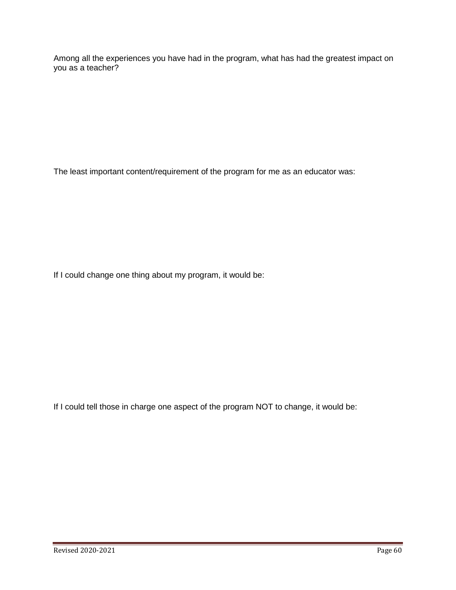Among all the experiences you have had in the program, what has had the greatest impact on you as a teacher?

The least important content/requirement of the program for me as an educator was:

If I could change one thing about my program, it would be:

If I could tell those in charge one aspect of the program NOT to change, it would be: